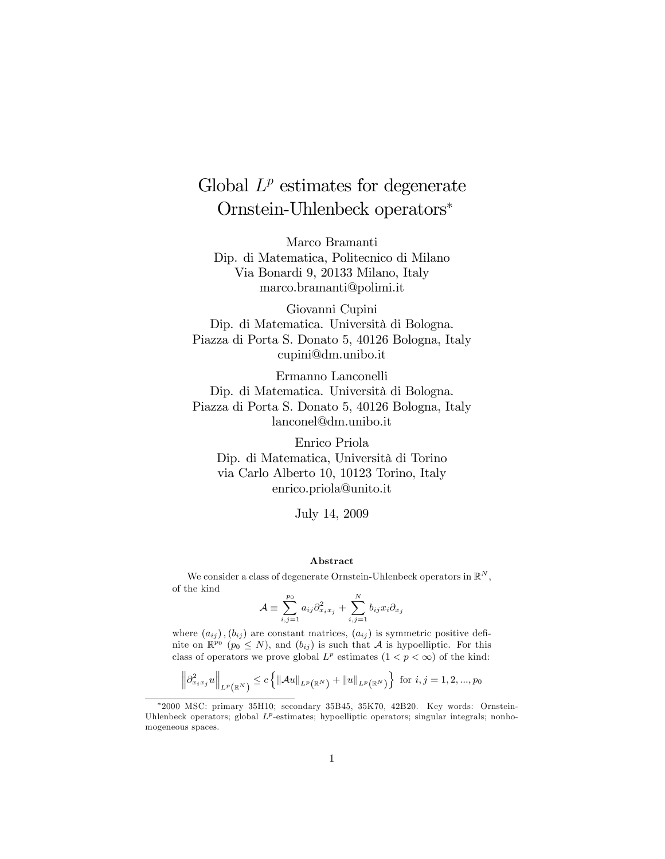# Global  $L^p$  estimates for degenerate Ornstein-Uhlenbeck operators

Marco Bramanti Dip. di Matematica, Politecnico di Milano Via Bonardi 9, 20133 Milano, Italy marco.bramanti@polimi.it

Giovanni Cupini Dip. di Matematica. Università di Bologna. Piazza di Porta S. Donato 5, 40126 Bologna, Italy cupini@dm.unibo.it

Ermanno Lanconelli Dip. di Matematica. Università di Bologna. Piazza di Porta S. Donato 5, 40126 Bologna, Italy lanconel@dm.unibo.it

Enrico Priola Dip. di Matematica, Università di Torino via Carlo Alberto 10, 10123 Torino, Italy enrico.priola@unito.it

July 14, 2009

#### Abstract

We consider a class of degenerate Ornstein-Uhlenbeck operators in  $\mathbb{R}^N$ , of the kind

$$
\mathcal{A} \equiv \sum_{i,j=1}^{p_0} a_{ij} \partial_{x_i x_j}^2 + \sum_{i,j=1}^N b_{ij} x_i \partial_{x_j}
$$

where  $(a_{ij})$ ,  $(b_{ij})$  are constant matrices,  $(a_{ij})$  is symmetric positive definite on  $\mathbb{R}^{p_0}$  ( $p_0 \leq N$ ), and  $(b_{ij})$  is such that  $\mathcal A$  is hypoelliptic. For this class of operators we prove global  $L^p$  estimates  $(1 < p < \infty)$  of the kind:

$$
\left\|\partial_{x_i x_j}^2 u\right\|_{L^p(\mathbb{R}^N)} \le c \left\{ \left\|\mathcal{A} u\right\|_{L^p(\mathbb{R}^N)} + \left\|u\right\|_{L^p(\mathbb{R}^N)} \right\} \text{ for } i,j=1,2,...,p_0
$$

<sup>2000</sup> MSC: primary 35H10; secondary 35B45, 35K70, 42B20. Key words: Ornstein-Uhlenbeck operators; global  $L^p$ -estimates; hypoelliptic operators; singular integrals; nonhomogeneous spaces.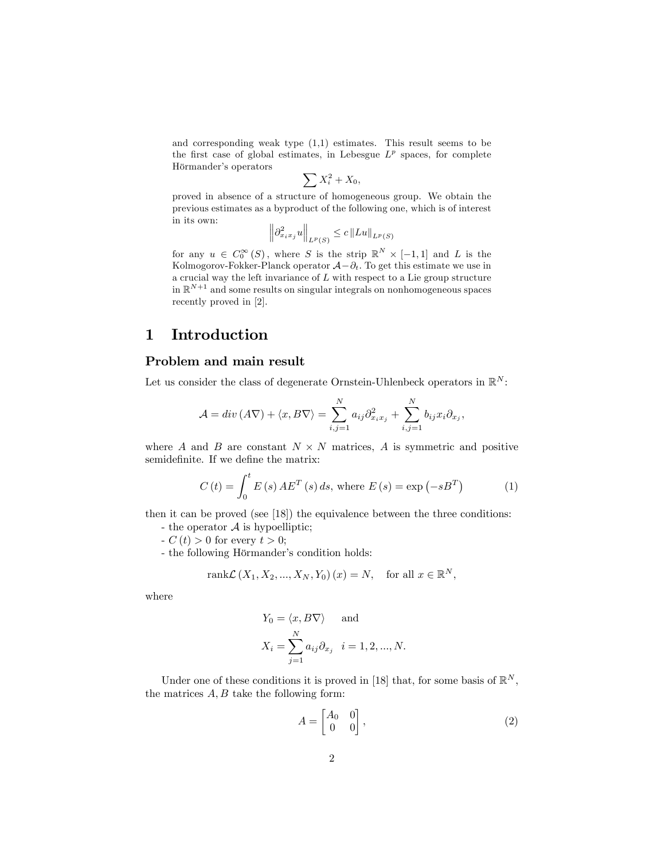and corresponding weak type (1,1) estimates. This result seems to be the first case of global estimates, in Lebesgue  $L^p$  spaces, for complete Hörmander's operators

$$
\sum X_i^2 + X_0,
$$

proved in absence of a structure of homogeneous group. We obtain the previous estimates as a byproduct of the following one, which is of interest in its own:

$$
\left\|\partial^2_{x_ix_j}u\right\|_{L^p(S)}\leq c\left\|Lu\right\|_{L^p(S)}
$$

for any  $u \in C_0^{\infty}(S)$ , where S is the strip  $\mathbb{R}^N \times [-1,1]$  and L is the Kolmogorov-Fokker-Planck operator  $\mathcal{A}-\partial_t$ . To get this estimate we use in a crucial way the left invariance of  $L$  with respect to a Lie group structure in  $\mathbb{R}^{N+1}$  and some results on singular integrals on nonhomogeneous spaces recently proved in [2].

### 1 Introduction

#### Problem and main result

Let us consider the class of degenerate Ornstein-Uhlenbeck operators in  $\mathbb{R}^N$ :

$$
\mathcal{A} = div(\mathbf{A}\nabla) + \langle x, B\nabla \rangle = \sum_{i,j=1}^{N} a_{ij} \partial_{x_i x_j}^2 + \sum_{i,j=1}^{N} b_{ij} x_i \partial_{x_j},
$$

where A and B are constant  $N \times N$  matrices, A is symmetric and positive semidefinite. If we define the matrix:

$$
C(t) = \int_0^t E(s) A E^T(s) ds, \text{ where } E(s) = \exp(-sB^T)
$$
 (1)

then it can be proved (see [18]) the equivalence between the three conditions:

- the operator  $A$  is hypoelliptic;
- $-C(t) > 0$  for every  $t > 0$ ;
- the following Hörmander's condition holds:

$$
rank\mathcal{L}(X_1, X_2, ..., X_N, Y_0)(x) = N, \text{ for all } x \in \mathbb{R}^N,
$$

where

$$
Y_0 = \langle x, B\nabla \rangle \quad \text{ and}
$$

$$
X_i = \sum_{j=1}^N a_{ij} \partial_{x_j} \quad i = 1, 2, ..., N.
$$

Under one of these conditions it is proved in [18] that, for some basis of  $\mathbb{R}^N$ , the matrices  $A, B$  take the following form:

$$
A = \begin{bmatrix} A_0 & 0 \\ 0 & 0 \end{bmatrix}, \tag{2}
$$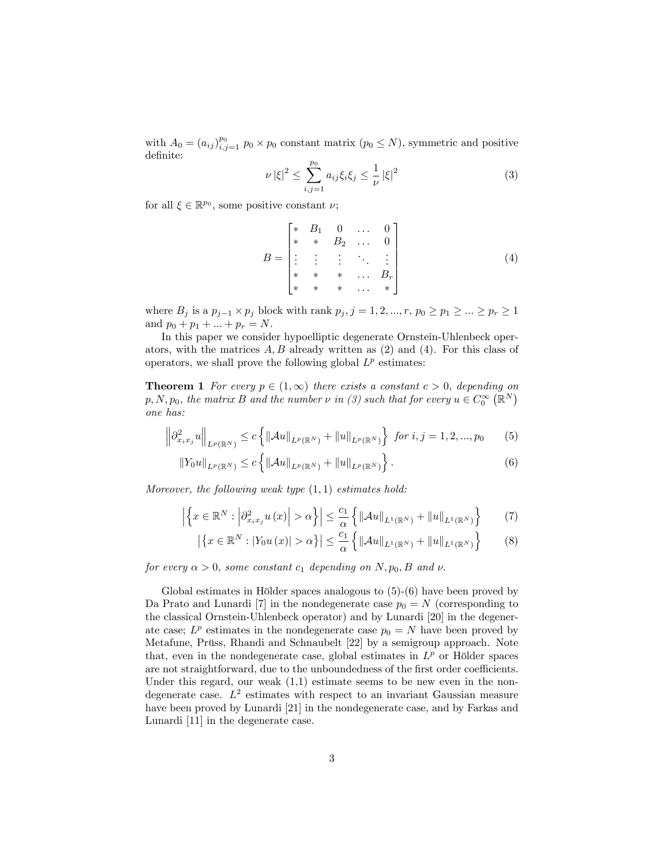with  $A_0 = (a_{ij})_{i,j=1}^{p_0} p_0 \times p_0$  constant matrix  $(p_0 \leq N)$ , symmetric and positive definite:

$$
\nu |\xi|^2 \le \sum_{i,j=1}^{p_0} a_{ij} \xi_i \xi_j \le \frac{1}{\nu} |\xi|^2 \tag{3}
$$

for all  $\xi \in \mathbb{R}^{p_0}$ , some positive constant  $\nu$ ;

$$
B = \begin{bmatrix} * & B_1 & 0 & \dots & 0 \\ * & * & B_2 & \dots & 0 \\ \vdots & \vdots & \vdots & \ddots & \vdots \\ * & * & * & \dots & B_r \\ * & * & * & \dots & * \end{bmatrix}
$$
 (4)

where  $B_j$  is a  $p_{j-1} \times p_j$  block with rank  $p_j$ ,  $j = 1, 2, ..., r$ ,  $p_0 \ge p_1 \ge ... \ge p_r \ge 1$ and  $p_0 + p_1 + \ldots + p_r = N$ .

In this paper we consider hypoelliptic degenerate Ornstein-Uhlenbeck operators, with the matrices  $A, B$  already written as  $(2)$  and  $(4)$ . For this class of operators, we shall prove the following global  $L^p$  estimates:

**Theorem 1** For every  $p \in (1,\infty)$  there exists a constant  $c > 0$ , depending on  $p, N, p_0$ , the matrix B and the number  $\nu$  in (3) such that for every  $u \in C_0^{\infty}(\mathbb{R}^N)$ one has:

$$
\left\|\partial_{x_ix_j}^2 u\right\|_{L^p(\mathbb{R}^N)} \le c \left\{ \left\|\mathcal{A}u\right\|_{L^p(\mathbb{R}^N)} + \left\|u\right\|_{L^p(\mathbb{R}^N)} \right\} \text{ for } i,j=1,2,...,p_0 \quad (5)
$$

$$
||Y_0u||_{L^p(\mathbb{R}^N)} \le c \left\{ ||\mathcal{A}u||_{L^p(\mathbb{R}^N)} + ||u||_{L^p(\mathbb{R}^N)} \right\}.
$$
 (6)

Moreover, the following weak type  $(1, 1)$  estimates hold:

$$
\left| \left\{ x \in \mathbb{R}^N : \left| \partial_{x_i x_j}^2 u(x) \right| > \alpha \right\} \right| \le \frac{c_1}{\alpha} \left\{ \left\| \mathcal{A}u \right\|_{L^1(\mathbb{R}^N)} + \left\| u \right\|_{L^1(\mathbb{R}^N)} \right\} \tag{7}
$$

$$
\left| \left\{ x \in \mathbb{R}^N : |Y_0 u(x)| > \alpha \right\} \right| \le \frac{c_1}{\alpha} \left\{ \left\| \mathcal{A}u \right\|_{L^1(\mathbb{R}^N)} + \left\| u \right\|_{L^1(\mathbb{R}^N)} \right\} \tag{8}
$$

for every  $\alpha > 0$ , some constant  $c_1$  depending on N,  $p_0$ , B and v.

Global estimates in Hölder spaces analogous to  $(5)-(6)$  have been proved by Da Prato and Lunardi [7] in the nondegenerate case  $p_0 = N$  (corresponding to the classical Ornstein-Uhlenbeck operator) and by Lunardi [20] in the degenerate case;  $L^p$  estimates in the nondegenerate case  $p_0 = N$  have been proved by Metafune, Prüss, Rhandi and Schnaubelt [22] by a semigroup approach. Note that, even in the nondegenerate case, global estimates in  $L^p$  or Hölder spaces are not straightforward, due to the unboundedness of the first order coefficients. Under this regard, our weak  $(1,1)$  estimate seems to be new even in the nondegenerate case.  $L^2$  estimates with respect to an invariant Gaussian measure have been proved by Lunardi [21] in the nondegenerate case, and by Farkas and Lunardi [11] in the degenerate case.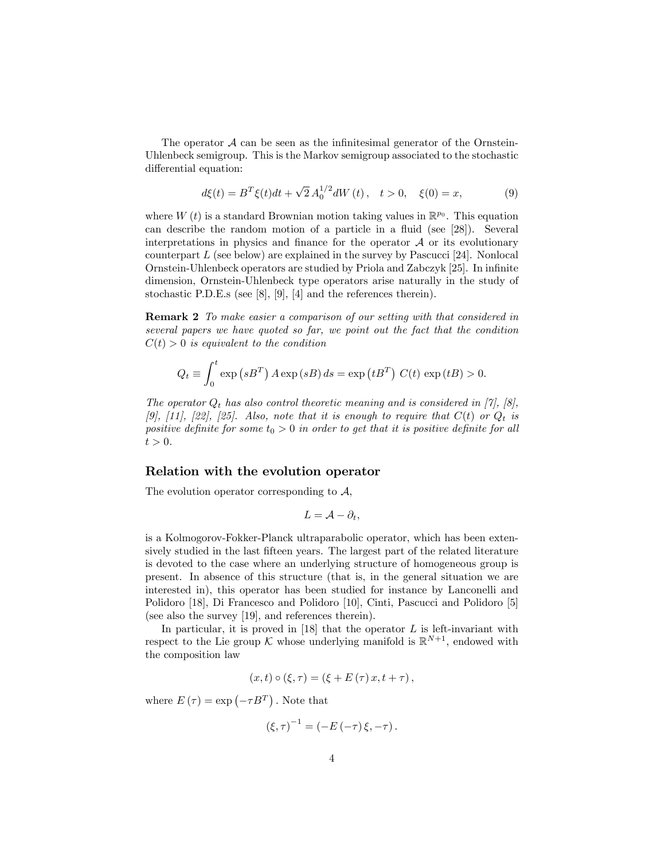The operator  $A$  can be seen as the infinitesimal generator of the Ornstein-Uhlenbeck semigroup. This is the Markov semigroup associated to the stochastic differential equation:

$$
d\xi(t) = B^T \xi(t) dt + \sqrt{2} A_0^{1/2} dW(t), \quad t > 0, \quad \xi(0) = x,
$$
 (9)

where  $W(t)$  is a standard Brownian motion taking values in  $\mathbb{R}^{p_0}$ . This equation can describe the random motion of a particle in a fluid (see [28]). Several interpretations in physics and finance for the operator  $A$  or its evolutionary counterpart  $L$  (see below) are explained in the survey by Pascucci [24]. Nonlocal Ornstein-Uhlenbeck operators are studied by Priola and Zabczyk [25]. In infinite dimension, Ornstein-Uhlenbeck type operators arise naturally in the study of stochastic P.D.E.s (see [8], [9], [4] and the references therein).

Remark 2 To make easier a comparison of our setting with that considered in several papers we have quoted so far, we point out the fact that the condition  $C(t) > 0$  is equivalent to the condition

$$
Q_t \equiv \int_0^t \exp(sB^T) A \exp(sB) ds = \exp(tB^T) C(t) \exp(tB) > 0.
$$

The operator  $Q_t$  has also control theoretic meaning and is considered in [7], [8], [9], [11], [22], [25]. Also, note that it is enough to require that  $C(t)$  or  $Q_t$  is positive definite for some  $t_0 > 0$  in order to get that it is positive definite for all  $t > 0$ .

#### Relation with the evolution operator

The evolution operator corresponding to  $A$ ,

$$
L=\mathcal{A}-\partial_t,
$$

is a Kolmogorov-Fokker-Planck ultraparabolic operator, which has been extensively studied in the last fifteen years. The largest part of the related literature is devoted to the case where an underlying structure of homogeneous group is present. In absence of this structure (that is, in the general situation we are interested in), this operator has been studied for instance by Lanconelli and Polidoro [18], Di Francesco and Polidoro [10], Cinti, Pascucci and Polidoro [5] (see also the survey [19], and references therein).

In particular, it is proved in  $[18]$  that the operator L is left-invariant with respect to the Lie group  $\mathcal K$  whose underlying manifold is  $\mathbb R^{N+1}$ , endowed with the composition law

$$
(x,t)\circ (\xi,\tau)=(\xi+E(\tau)x,t+\tau),
$$

where  $E(\tau) = \exp(-\tau B^{T})$ . Note that

$$
(\xi,\tau)^{-1} = (-E(-\tau)\xi,-\tau).
$$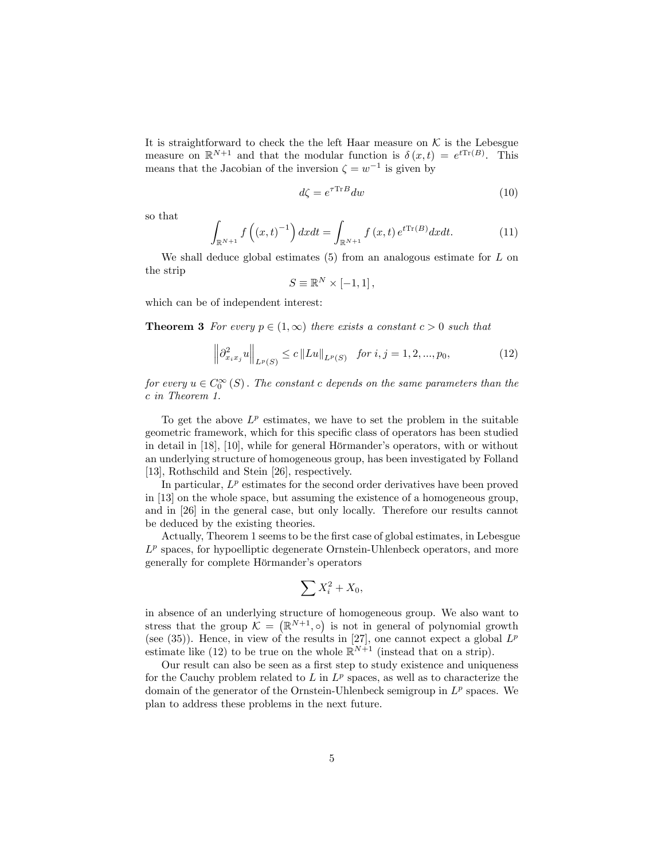It is straightforward to check the the left Haar measure on  $K$  is the Lebesgue measure on  $\mathbb{R}^{N+1}$  and that the modular function is  $\delta(x,t) = e^{tTr(B)}$ . This means that the Jacobian of the inversion  $\zeta = w^{-1}$  is given by

$$
d\zeta = e^{\tau \text{Tr}B} dw \tag{10}
$$

so that

$$
\int_{\mathbb{R}^{N+1}} f\left((x,t)^{-1}\right) dxdt = \int_{\mathbb{R}^{N+1}} f(x,t) e^{t \text{Tr}(B)} dxdt.
$$
 (11)

We shall deduce global estimates  $(5)$  from an analogous estimate for L on the strip

$$
S \equiv \mathbb{R}^N \times [-1,1],
$$

which can be of independent interest:

**Theorem 3** For every  $p \in (1,\infty)$  there exists a constant  $c > 0$  such that

$$
\left\|\partial_{x_ix_j}^2 u\right\|_{L^p(S)} \le c \left\|Lu\right\|_{L^p(S)} \quad \text{for } i, j = 1, 2, ..., p_0,\tag{12}
$$

for every  $u \in C_0^{\infty} (S)$ . The constant c depends on the same parameters than the c in Theorem 1.

To get the above  $L^p$  estimates, we have to set the problem in the suitable geometric framework, which for this specific class of operators has been studied in detail in  $[18]$ ,  $[10]$ , while for general Hörmander's operators, with or without an underlying structure of homogeneous group, has been investigated by Folland [13], Rothschild and Stein [26], respectively.

In particular,  $L^p$  estimates for the second order derivatives have been proved in [13] on the whole space, but assuming the existence of a homogeneous group, and in [26] in the general case, but only locally. Therefore our results cannot be deduced by the existing theories.

Actually, Theorem 1 seems to be the first case of global estimates, in Lebesgue  $L^p$  spaces, for hypoelliptic degenerate Ornstein-Uhlenbeck operators, and more generally for complete Hörmander's operators

$$
\sum X_i^2 + X_0,
$$

in absence of an underlying structure of homogeneous group. We also want to stress that the group  $\mathcal{K} = (\mathbb{R}^{N+1}, \circ)$  is not in general of polynomial growth (see (35)). Hence, in view of the results in [27], one cannot expect a global  $L^p$ estimate like (12) to be true on the whole  $\mathbb{R}^{N+1}$  (instead that on a strip).

Our result can also be seen as a first step to study existence and uniqueness for the Cauchy problem related to  $L$  in  $L^p$  spaces, as well as to characterize the domain of the generator of the Ornstein-Uhlenbeck semigroup in  $L^p$  spaces. We plan to address these problems in the next future.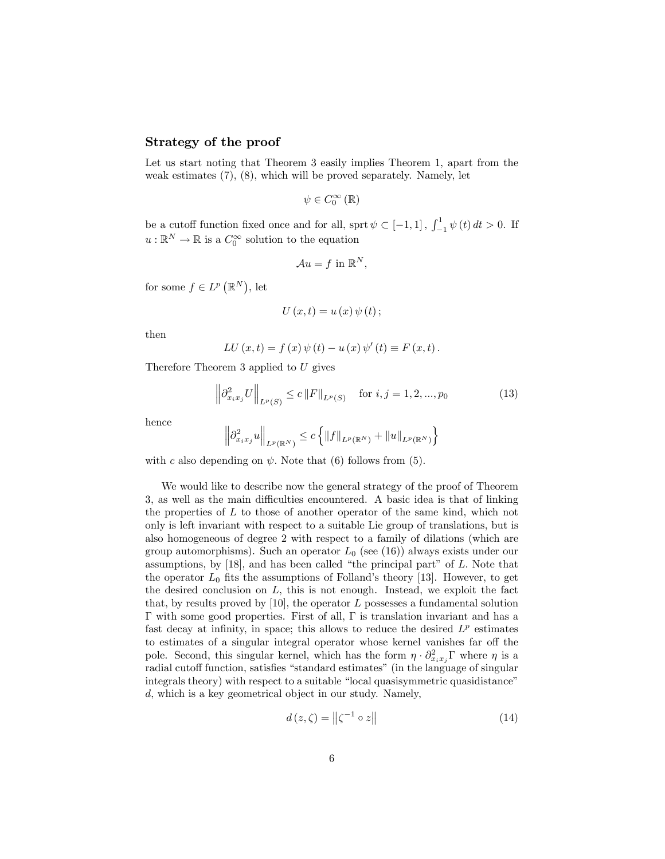#### Strategy of the proof

Let us start noting that Theorem 3 easily implies Theorem 1, apart from the weak estimates (7), (8), which will be proved separately. Namely, let

$$
\psi\in C_{0}^{\infty}\left( \mathbb{R}\right)
$$

be a cutoff function fixed once and for all, sprt  $\psi \subset [-1, 1]$ ,  $\int_{-1}^{1} \psi(t) dt > 0$ . If  $u: \mathbb{R}^N \to \mathbb{R}$  is a  $C_0^{\infty}$  solution to the equation

$$
\mathcal{A}u = f \text{ in } \mathbb{R}^N,
$$

for some  $f \in L^p(\mathbb{R}^N)$ , let

$$
U\left( x,t\right) =u\left( x\right) \psi \left( t\right) ;
$$

then

$$
LU (x, t) = f (x) \psi (t) - u (x) \psi' (t) \equiv F (x, t).
$$

Therefore Theorem 3 applied to  $U$  gives

$$
\left\|\partial_{x_i x_j}^2 U\right\|_{L^p(S)} \le c \left\|F\right\|_{L^p(S)} \quad \text{for } i, j = 1, 2, ..., p_0 \tag{13}
$$

hence

$$
\left\|\partial^2_{x_ix_j}u\right\|_{L^p(\mathbb{R}^N)} \leq c \left\{\|f\|_{L^p(\mathbb{R}^N)} + \|u\|_{L^p(\mathbb{R}^N)}\right\}
$$

with c also depending on  $\psi$ . Note that (6) follows from (5).

We would like to describe now the general strategy of the proof of Theorem 3, as well as the main difficulties encountered. A basic idea is that of linking the properties of L to those of another operator of the same kind, which not only is left invariant with respect to a suitable Lie group of translations, but is also homogeneous of degree 2 with respect to a family of dilations (which are group automorphisms). Such an operator  $L_0$  (see (16)) always exists under our assumptions, by  $[18]$ , and has been called "the principal part" of  $L$ . Note that the operator  $L_0$  fits the assumptions of Folland's theory [13]. However, to get the desired conclusion on  $L$ , this is not enough. Instead, we exploit the fact that, by results proved by  $[10]$ , the operator L possesses a fundamental solution  $\Gamma$  with some good properties. First of all,  $\Gamma$  is translation invariant and has a fast decay at infinity, in space; this allows to reduce the desired  $L^p$  estimates to estimates of a singular integral operator whose kernel vanishes far off the pole. Second, this singular kernel, which has the form  $\eta \cdot \partial_{x_i x_j}^2 \Gamma$  where  $\eta$  is a radial cutoff function, satisfies "standard estimates" (in the language of singular integrals theory) with respect to a suitable "local quasisymmetric quasidistance" d, which is a key geometrical object in our study. Namely,

$$
d(z,\zeta) = \left\| \zeta^{-1} \circ z \right\| \tag{14}
$$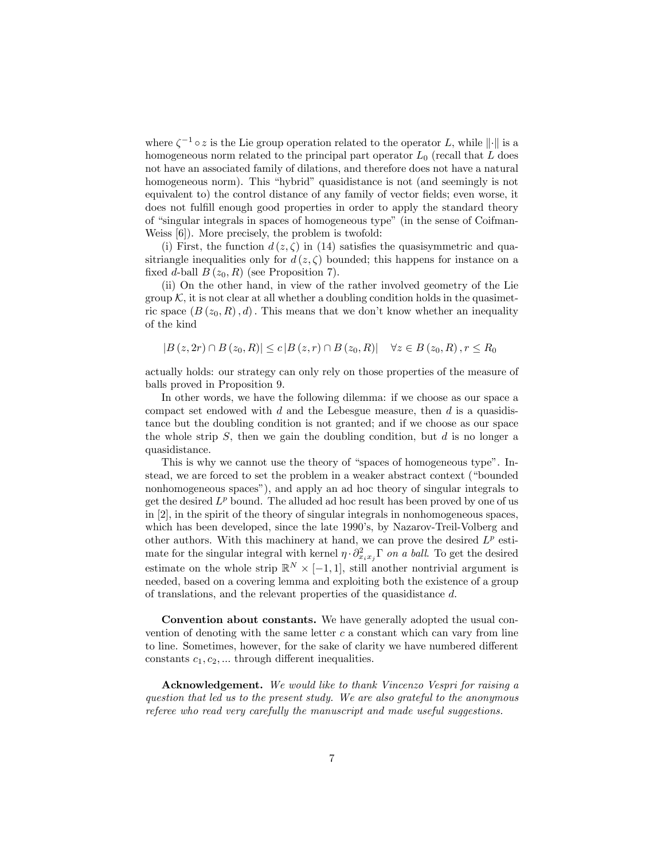where  $\zeta^{-1} \circ z$  is the Lie group operation related to the operator L, while  $\|\cdot\|$  is a homogeneous norm related to the principal part operator  $L_0$  (recall that  $L$  does not have an associated family of dilations, and therefore does not have a natural homogeneous norm). This "hybrid" quasidistance is not (and seemingly is not equivalent to) the control distance of any family of vector fields; even worse, it does not fulfill enough good properties in order to apply the standard theory of "singular integrals in spaces of homogeneous type" (in the sense of Coifman-Weiss [6]). More precisely, the problem is twofold:

(i) First, the function  $d(z,\zeta)$  in (14) satisfies the quasisymmetric and quasitriangle inequalities only for  $d(z,\zeta)$  bounded; this happens for instance on a fixed d-ball  $B(z_0, R)$  (see Proposition 7).

(ii) On the other hand, in view of the rather involved geometry of the Lie group  $K$ , it is not clear at all whether a doubling condition holds in the quasimetric space  $(B(z_0, R), d)$ . This means that we don't know whether an inequality of the kind

 $|B(z, 2r) \cap B(z_0, R)| \le c |B(z, r) \cap B(z_0, R)| \quad \forall z \in B(z_0, R), r \le R_0$ 

actually holds: our strategy can only rely on those properties of the measure of balls proved in Proposition 9.

In other words, we have the following dilemma: if we choose as our space a compact set endowed with  $d$  and the Lebesgue measure, then  $d$  is a quasidistance but the doubling condition is not granted; and if we choose as our space the whole strip  $S$ , then we gain the doubling condition, but  $d$  is no longer a quasidistance.

This is why we cannot use the theory of "spaces of homogeneous type". Instead, we are forced to set the problem in a weaker abstract context ("bounded") nonhomogeneous spaces"), and apply an ad hoc theory of singular integrals to get the desired  $L^p$  bound. The alluded ad hoc result has been proved by one of us in [2], in the spirit of the theory of singular integrals in nonhomogeneous spaces, which has been developed, since the late 1990's, by Nazarov-Treil-Volberg and other authors. With this machinery at hand, we can prove the desired  $L^p$  estimate for the singular integral with kernel  $\eta \cdot \partial_{x_i x_j}^2 \Gamma$  on a ball. To get the desired estimate on the whole strip  $\mathbb{R}^N \times [-1,1]$ , still another nontrivial argument is needed, based on a covering lemma and exploiting both the existence of a group of translations, and the relevant properties of the quasidistance d.

Convention about constants. We have generally adopted the usual convention of denoting with the same letter  $c$  a constant which can vary from line to line. Sometimes, however, for the sake of clarity we have numbered different constants  $c_1, c_2, \ldots$  through different inequalities.

Acknowledgement. We would like to thank Vincenzo Vespri for raising a question that led us to the present study. We are also grateful to the anonymous referee who read very carefully the manuscript and made useful suggestions.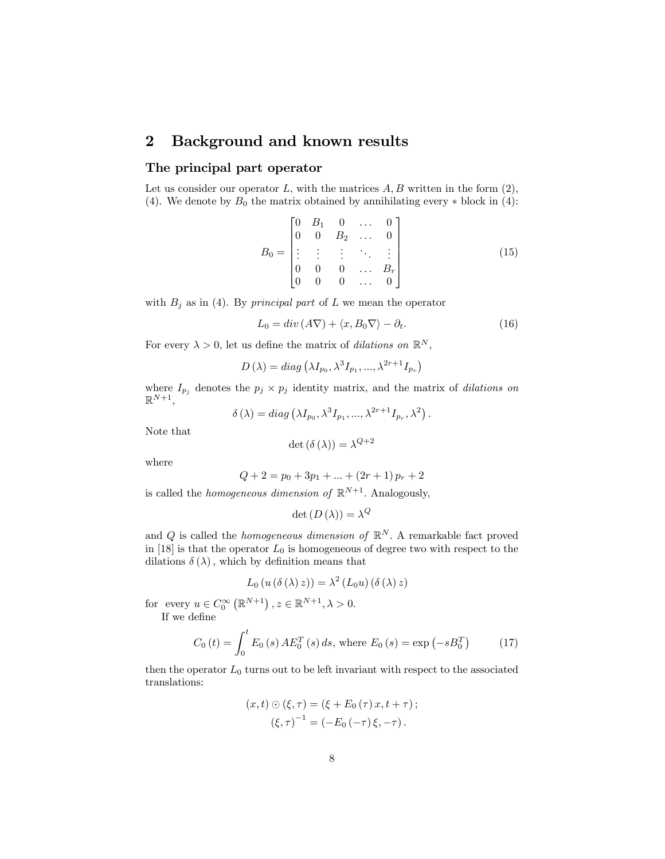## 2 Background and known results

#### The principal part operator

Let us consider our operator  $L$ , with the matrices  $A, B$  written in the form  $(2)$ , (4). We denote by  $B_0$  the matrix obtained by annihilating every  $*$  block in (4):

$$
B_0 = \begin{bmatrix} 0 & B_1 & 0 & \dots & 0 \\ 0 & 0 & B_2 & \dots & 0 \\ \vdots & \vdots & \vdots & \ddots & \vdots \\ 0 & 0 & 0 & \dots & B_r \\ 0 & 0 & 0 & \dots & 0 \end{bmatrix}
$$
(15)

with  $B_j$  as in (4). By *principal part* of L we mean the operator

$$
L_0 = div (A\nabla) + \langle x, B_0 \nabla \rangle - \partial_t.
$$
 (16)

For every  $\lambda > 0$ , let us define the matrix of *dilations on*  $\mathbb{R}^N$ ,

$$
D(\lambda) = diag(\lambda I_{p_0}, \lambda^3 I_{p_1}, ..., \lambda^{2r+1} I_{p_r})
$$

where  $I_{p_j}$  denotes the  $p_j \times p_j$  identity matrix, and the matrix of *dilations on*  $\mathbb{R}^{N+1},$ 

$$
\delta(\lambda) = diag(\lambda I_{p_0}, \lambda^3 I_{p_1}, ..., \lambda^{2r+1} I_{p_r}, \lambda^2).
$$

Note that

$$
\det\left(\delta\left(\lambda\right)\right) = \lambda^{Q+2}
$$

where

$$
Q + 2 = p_0 + 3p_1 + \dots + (2r + 1)p_r + 2
$$

is called the *homogeneous dimension of*  $\mathbb{R}^{N+1}$ . Analogously,

$$
\det\left(D\left(\lambda\right)\right) = \lambda^{Q}
$$

and Q is called the *homogeneous dimension of*  $\mathbb{R}^N$ . A remarkable fact proved in [18] is that the operator  $L_0$  is homogeneous of degree two with respect to the dilations  $\delta(\lambda)$ , which by definition means that

$$
L_0(u(\delta(\lambda) z)) = \lambda^2 (L_0 u)(\delta(\lambda) z)
$$

for every  $u \in C_0^{\infty} (\mathbb{R}^{N+1})$ ,  $z \in \mathbb{R}^{N+1}$ ,  $\lambda > 0$ .

If we define

$$
C_0(t) = \int_0^t E_0(s) \, AE_0^T(s) \, ds, \text{ where } E_0(s) = \exp(-sB_0^T) \tag{17}
$$

then the operator  $L_0$  turns out to be left invariant with respect to the associated translations:

$$
(x,t) \odot (\xi, \tau) = (\xi + E_0(\tau) x, t + \tau);
$$
  

$$
(\xi, \tau)^{-1} = (-E_0(-\tau)\xi, -\tau).
$$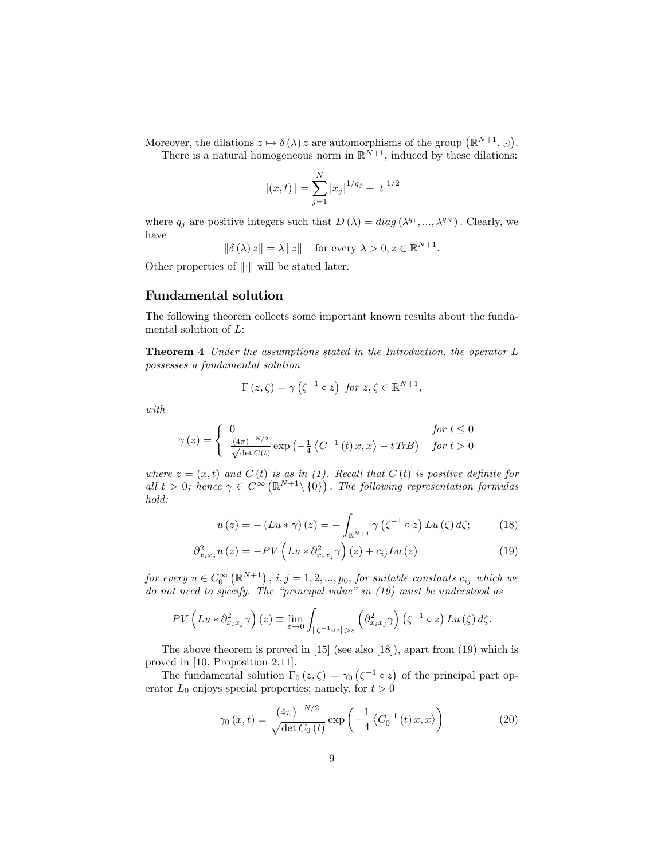Moreover, the dilations  $z \mapsto \delta(\lambda) z$  are automorphisms of the group  $(\mathbb{R}^{N+1}, \odot)$ .

There is a natural homogeneous norm in  $\mathbb{R}^{N+1}$ , induced by these dilations:

$$
||(x,t)|| = \sum_{j=1}^{N} |x_j|^{1/q_j} + |t|^{1/2}
$$

where  $q_j$  are positive integers such that  $D(\lambda) = diag(\lambda^{q_1}, ..., \lambda^{q_N})$ . Clearly, we have

 $\|\delta(\lambda) z\| = \lambda \|z\|$  for every  $\lambda > 0, z \in \mathbb{R}^{N+1}$ .

Other properties of  $\|\cdot\|$  will be stated later.

#### Fundamental solution

The following theorem collects some important known results about the fundamental solution of L:

Theorem 4 Under the assumptions stated in the Introduction, the operator L possesses a fundamental solution

$$
\Gamma(z,\zeta) = \gamma\left(\zeta^{-1} \circ z\right) \text{ for } z,\zeta \in \mathbb{R}^{N+1},
$$

with

$$
\gamma(z) = \begin{cases} 0 & \text{for } t \le 0\\ \frac{(4\pi)^{-N/2}}{\sqrt{\det C(t)}} \exp\left(-\frac{1}{4}\left\langle C^{-1}\left(t\right)x, x\right\rangle - t\,TrB\right) & \text{for } t > 0 \end{cases}
$$

where  $z = (x, t)$  and  $C(t)$  is as in (1). Recall that  $C(t)$  is positive definite for all  $t > 0$ ; hence  $\gamma \in C^{\infty}(\mathbb{R}^{N+1} \setminus \{0\})$ . The following representation formulas hold:

$$
u(z) = -(Lu*\gamma)(z) = -\int_{\mathbb{R}^{N+1}} \gamma(\zeta^{-1} \circ z) Lu(\zeta) d\zeta;
$$
 (18)

$$
\partial_{x_i x_j}^2 u(z) = -PV \left( L u * \partial_{x_i x_j}^2 \gamma \right)(z) + c_{ij} L u(z) \tag{19}
$$

for every  $u \in C_0^{\infty}(\mathbb{R}^{N+1})$ ,  $i, j = 1, 2, ..., p_0$ , for suitable constants  $c_{ij}$  which we do not need to specify. The "principal value" in  $(19)$  must be understood as

$$
PV\left(Lu * \partial_{x_i x_j}^2 \gamma\right)(z) \equiv \lim_{\varepsilon \to 0} \int_{\|\zeta^{-1} \circ z\| > \varepsilon} \left(\partial_{x_i x_j}^2 \gamma\right) \left(\zeta^{-1} \circ z\right) Lu\left(\zeta\right) d\zeta.
$$

The above theorem is proved in [15] (see also [18]), apart from (19) which is proved in [10, Proposition 2.11].

The fundamental solution  $\Gamma_0(z,\zeta) = \gamma_0(\zeta^{-1} \circ z)$  of the principal part operator  $L_0$  enjoys special properties; namely, for  $t > 0$ 

$$
\gamma_0(x,t) = \frac{(4\pi)^{-N/2}}{\sqrt{\det C_0(t)}} \exp\left(-\frac{1}{4} \left\langle C_0^{-1}(t) \, x, x \right\rangle\right) \tag{20}
$$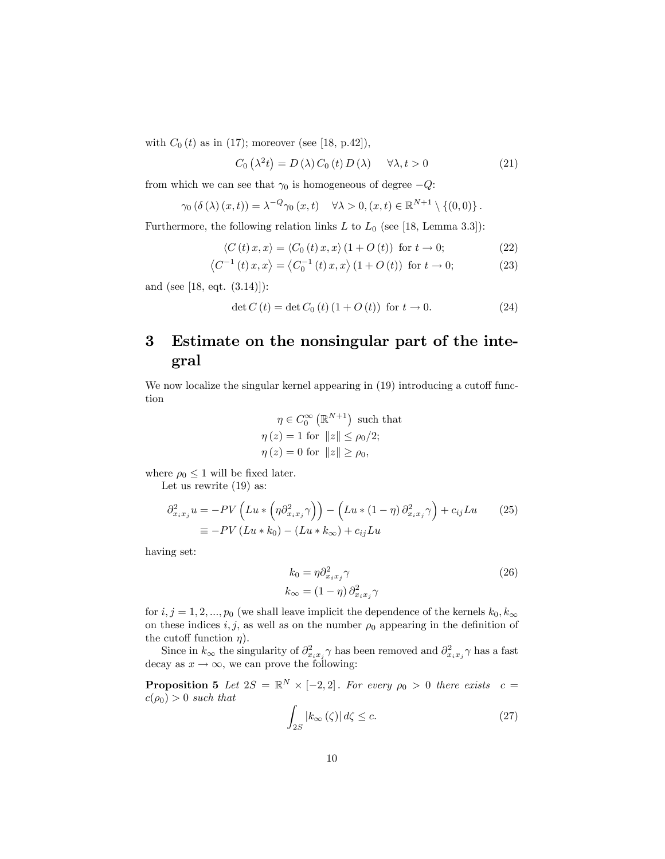with  $C_0 (t)$  as in (17); moreover (see [18, p.42]),

$$
C_0(\lambda^2 t) = D(\lambda) C_0(t) D(\lambda) \quad \forall \lambda, t > 0
$$
\n(21)

from which we can see that  $\gamma_0$  is homogeneous of degree  $-Q$ :

$$
\gamma_0\left(\delta\left(\lambda\right)(x,t)\right) = \lambda^{-Q}\gamma_0\left(x,t\right) \quad \forall \lambda > 0, \left(x,t\right) \in \mathbb{R}^{N+1} \setminus \left\{\left(0,0\right)\right\}.
$$

Furthermore, the following relation links  $L$  to  $L_0$  (see [18, Lemma 3.3]):

$$
\langle C(t)x, x \rangle = \langle C_0(t)x, x \rangle (1 + O(t)) \text{ for } t \to 0;
$$
 (22)

$$
\langle C^{-1}(t)x, x \rangle = \langle C_0^{-1}(t)x, x \rangle (1 + O(t)) \text{ for } t \to 0; \tag{23}
$$

and (see [18, eqt. (3.14)]):

$$
\det C(t) = \det C_0(t) (1 + O(t)) \text{ for } t \to 0. \tag{24}
$$

# 3 Estimate on the nonsingular part of the integral

We now localize the singular kernel appearing in  $(19)$  introducing a cutoff function

$$
\eta \in C_0^{\infty}(\mathbb{R}^{N+1})
$$
 such that  

$$
\eta(z) = 1
$$
 for  $||z|| \le \rho_0/2$ ;  

$$
\eta(z) = 0
$$
 for  $||z|| \ge \rho_0$ ,

where  $\rho_0 \leq 1$  will be fixed later.

Let us rewrite (19) as:

$$
\partial_{x_ix_j}^2 u = -PV\left(Lu * \left(\eta \partial_{x_ix_j}^2 \gamma\right)\right) - \left(Lu * (1-\eta) \partial_{x_ix_j}^2 \gamma\right) + c_{ij}Lu \qquad (25)
$$

$$
\equiv -PV\left(Lu * k_0\right) - \left(Lu * k_\infty\right) + c_{ij}Lu
$$

having set:

$$
k_0 = \eta \partial_{x_i x_j}^2 \gamma
$$
  
\n
$$
k_{\infty} = (1 - \eta) \partial_{x_i x_j}^2 \gamma
$$
\n(26)

for  $i, j = 1, 2, ..., p_0$  (we shall leave implicit the dependence of the kernels  $k_0, k_{\infty}$ on these indices  $i, j$ , as well as on the number  $\rho_0$  appearing in the definition of the cutoff function  $\eta$ ).

Since in  $k_{\infty}$  the singularity of  $\partial_{x_ix_j}^2 \gamma$  has been removed and  $\partial_{x_ix_j}^2 \gamma$  has a fast decay as  $x \to \infty$ , we can prove the following:

**Proposition 5** Let  $2S = \mathbb{R}^N \times [-2,2]$ . For every  $\rho_0 > 0$  there exists  $c =$  $c(\rho_0) > 0$  such that

$$
\int_{2S} |k_{\infty}(\zeta)| d\zeta \leq c. \tag{27}
$$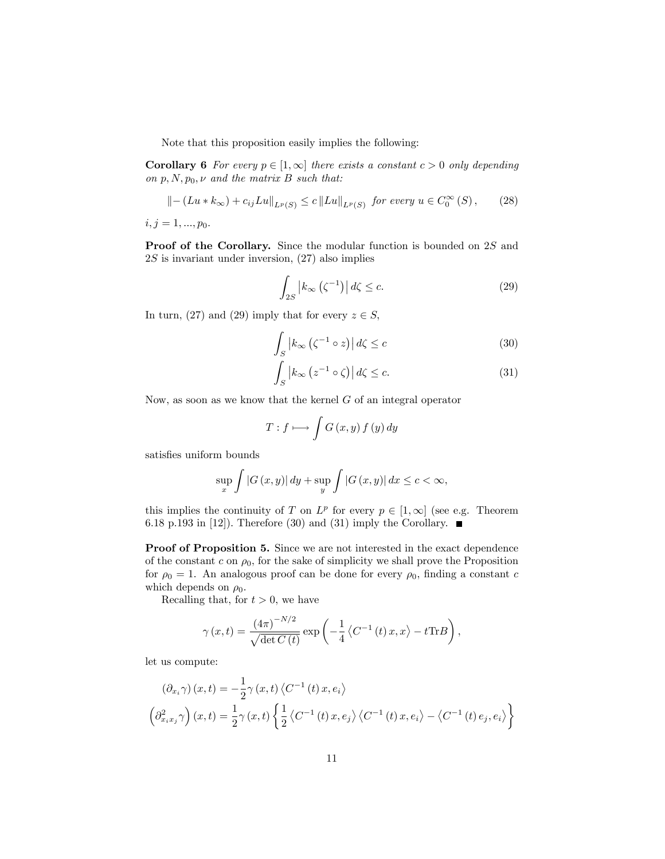Note that this proposition easily implies the following:

**Corollary 6** For every  $p \in [1,\infty]$  there exists a constant  $c > 0$  only depending on  $p, N, p_0, \nu$  and the matrix B such that:

$$
\| - (Lu * k_{\infty}) + c_{ij}Lu\|_{L^{p}(S)} \le c \|Lu\|_{L^{p}(S)} \text{ for every } u \in C_{0}^{\infty}(S), \qquad (28)
$$

 $i, j = 1, ..., p_0.$ 

Proof of the Corollary. Since the modular function is bounded on 2S and  $2S$  is invariant under inversion,  $(27)$  also implies

$$
\int_{2S} \left| k_{\infty} \left( \zeta^{-1} \right) \right| d\zeta \leq c. \tag{29}
$$

In turn, (27) and (29) imply that for every  $z \in S$ ,

$$
\int_{S} \left| k_{\infty} \left( \zeta^{-1} \circ z \right) \right| d\zeta \leq c \tag{30}
$$

$$
\int_{S} \left| k_{\infty} \left( z^{-1} \circ \zeta \right) \right| d\zeta \leq c. \tag{31}
$$

Now, as soon as we know that the kernel  $G$  of an integral operator

$$
T: f \longmapsto \int G(x, y) f(y) dy
$$

satisfies uniform bounds

$$
\sup_{x} \int |G(x, y)| dy + \sup_{y} \int |G(x, y)| dx \leq c < \infty,
$$

this implies the continuity of T on  $L^p$  for every  $p \in [1,\infty]$  (see e.g. Theorem 6.18 p.193 in [12]). Therefore (30) and (31) imply the Corollary.  $\blacksquare$ 

Proof of Proposition 5. Since we are not interested in the exact dependence of the constant c on  $\rho_0$ , for the sake of simplicity we shall prove the Proposition for  $\rho_0 = 1$ . An analogous proof can be done for every  $\rho_0$ , finding a constant c which depends on  $\rho_0$ .

Recalling that, for  $t > 0$ , we have

$$
\gamma(x,t) = \frac{(4\pi)^{-N/2}}{\sqrt{\det C(t)}} \exp\left(-\frac{1}{4}\left\langle C^{-1}(t)x, x\right\rangle - t\text{Tr}B\right),\,
$$

let us compute:

$$
(\partial_{x_i}\gamma)(x,t) = -\frac{1}{2}\gamma(x,t)\left\langle C^{-1}(t)x,e_i\right\rangle
$$

$$
(\partial_{x_ix_j}\gamma)(x,t) = \frac{1}{2}\gamma(x,t)\left\{\frac{1}{2}\left\langle C^{-1}(t)x,e_j\right\rangle\left\langle C^{-1}(t)x,e_i\right\rangle - \left\langle C^{-1}(t)e_j,e_i\right\rangle\right\}
$$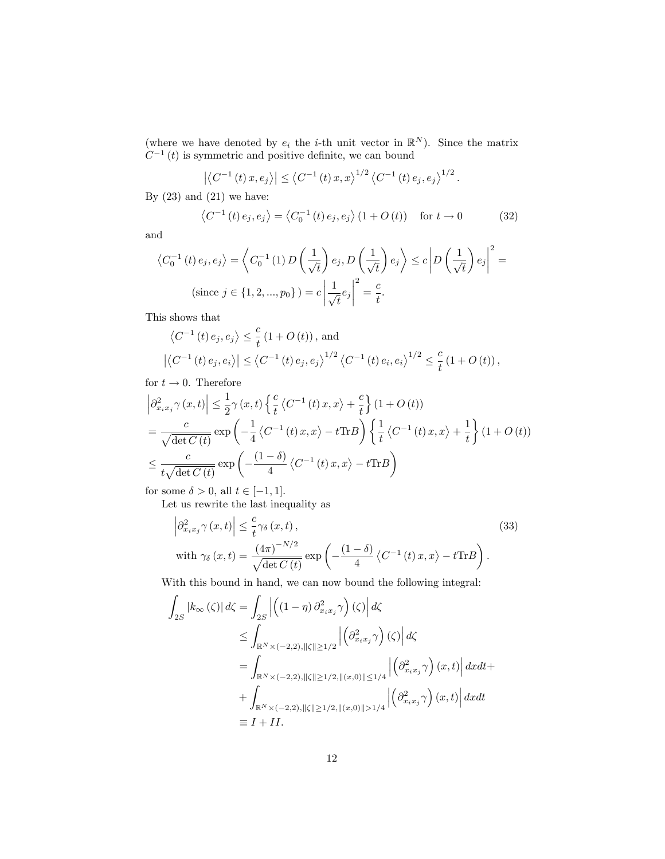(where we have denoted by  $e_i$  the *i*-th unit vector in  $\mathbb{R}^N$ ). Since the matrix  $C^{-1}(t)$  is symmetric and positive definite, we can bound

$$
|\langle C^{-1}(t) x, e_j \rangle| \le \langle C^{-1}(t) x, x \rangle^{1/2} \langle C^{-1}(t) e_j, e_j \rangle^{1/2}.
$$

By  $(23)$  and  $(21)$  we have:

$$
\left\langle C^{-1}(t)e_j, e_j \right\rangle = \left\langle C_0^{-1}(t)e_j, e_j \right\rangle (1+O(t)) \quad \text{for } t \to 0 \tag{32}
$$

and

$$
\langle C_0^{-1}(t) e_j, e_j \rangle = \langle C_0^{-1}(1) D\left(\frac{1}{\sqrt{t}}\right) e_j, D\left(\frac{1}{\sqrt{t}}\right) e_j \rangle \le c \left| D\left(\frac{1}{\sqrt{t}}\right) e_j \right|^2 =
$$
  
(since  $j \in \{1, 2, ..., p_0\}$ ) =  $c \left| \frac{1}{\sqrt{t}} e_j \right|^2 = \frac{c}{t}.$ 

This shows that

$$
\langle C^{-1}(t) e_j, e_j \rangle \leq \frac{c}{t} (1 + O(t)), \text{ and}
$$
  

$$
|\langle C^{-1}(t) e_j, e_i \rangle| \leq \langle C^{-1}(t) e_j, e_j \rangle^{1/2} \langle C^{-1}(t) e_i, e_i \rangle^{1/2} \leq \frac{c}{t} (1 + O(t)),
$$

for  $t \to 0$ . Therefore

$$
\left| \partial_{x_i x_j}^2 \gamma(x, t) \right| \leq \frac{1}{2} \gamma(x, t) \left\{ \frac{c}{t} \left\langle C^{-1}(t) \, x, x \right\rangle + \frac{c}{t} \right\} (1 + O(t))
$$
\n
$$
= \frac{c}{\sqrt{\det C(t)}} \exp\left( -\frac{1}{4} \left\langle C^{-1}(t) \, x, x \right\rangle - t \text{Tr} B \right) \left\{ \frac{1}{t} \left\langle C^{-1}(t) \, x, x \right\rangle + \frac{1}{t} \right\} (1 + O(t))
$$
\n
$$
\leq \frac{c}{t \sqrt{\det C(t)}} \exp\left( -\frac{(1 - \delta)}{4} \left\langle C^{-1}(t) \, x, x \right\rangle - t \text{Tr} B \right)
$$

for some  $\delta > 0$ , all  $t \in [-1, 1]$ .

Let us rewrite the last inequality as

$$
\left| \partial_{x_i x_j}^2 \gamma(x, t) \right| \leq \frac{c}{t} \gamma_{\delta}(x, t),
$$
\n
$$
\text{with } \gamma_{\delta}(x, t) = \frac{\left( 4\pi \right)^{-N/2}}{\sqrt{\det C(t)}} \exp\left( -\frac{\left( 1 - \delta \right)}{4} \left\langle C^{-1}(t) \, x, x \right\rangle - t \text{Tr} B \right).
$$
\n
$$
(33)
$$

With this bound in hand, we can now bound the following integral:

$$
\int_{2S} |k_{\infty}(\zeta)| d\zeta = \int_{2S} \left| \left( (1 - \eta) \partial_{x_i x_j}^2 \gamma \right) (\zeta) \right| d\zeta
$$
\n
$$
\leq \int_{\mathbb{R}^N \times (-2,2), \|\zeta\| \geq 1/2} \left| \left( \partial_{x_i x_j}^2 \gamma \right) (\zeta) \right| d\zeta
$$
\n
$$
= \int_{\mathbb{R}^N \times (-2,2), \|\zeta\| \geq 1/2, \|(x,0)\| \leq 1/4} \left| \left( \partial_{x_i x_j}^2 \gamma \right) (x,t) \right| dx dt + \int_{\mathbb{R}^N \times (-2,2), \|\zeta\| \geq 1/2, \|(x,0)\| > 1/4} \left| \left( \partial_{x_i x_j}^2 \gamma \right) (x,t) \right| dx dt
$$
\n
$$
\equiv I + II.
$$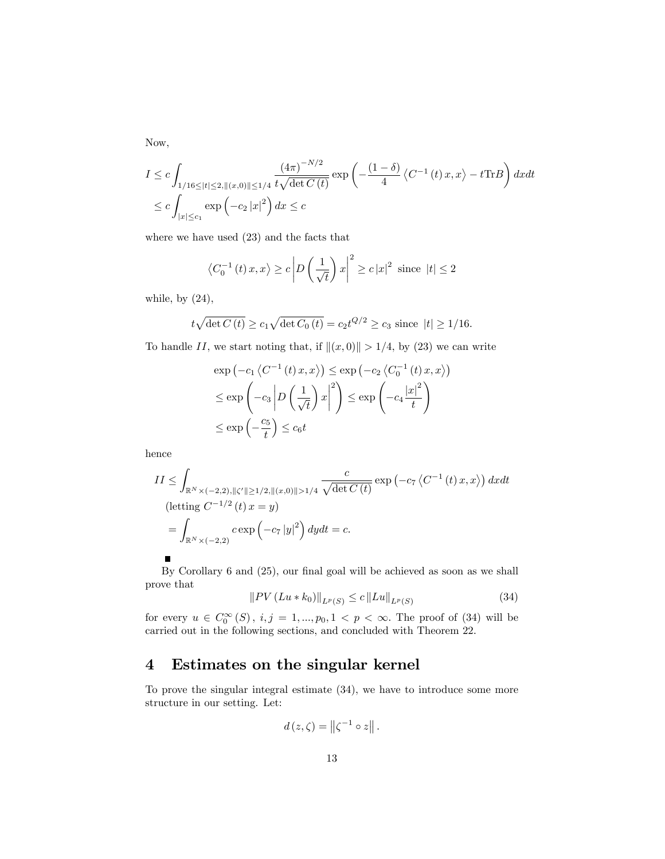Now,

$$
I \leq c \int_{1/16 \leq |t| \leq 2, \|(x,0)\| \leq 1/4} \frac{(4\pi)^{-N/2}}{t\sqrt{\det C(t)}} \exp\left(-\frac{(1-\delta)}{4} \left\langle C^{-1}(t)x, x \right\rangle - t\text{Tr}B\right) dx dt
$$
  

$$
\leq c \int_{|x| \leq c_1} \exp\left(-c_2 |x|^2\right) dx \leq c
$$

where we have used (23) and the facts that

$$
\langle C_0^{-1}(t)x, x \rangle \ge c \left| D\left(\frac{1}{\sqrt{t}}\right)x \right|^2 \ge c |x|^2
$$
 since  $|t| \le 2$ 

while, by  $(24)$ ,

$$
t\sqrt{\det C(t)} \ge c_1\sqrt{\det C_0(t)} = c_2 t^{Q/2} \ge c_3
$$
 since  $|t| \ge 1/16$ .

To handle II, we start noting that, if  $\|(x, 0)\| > 1/4$ , by (23) we can write

$$
\exp(-c_1 \langle C^{-1}(t) x, x \rangle) \le \exp(-c_2 \langle C_0^{-1}(t) x, x \rangle)
$$
  

$$
\le \exp\left(-c_3 \left| D\left(\frac{1}{\sqrt{t}}\right) x \right|^2 \right) \le \exp\left(-c_4 \frac{|x|^2}{t}\right)
$$
  

$$
\le \exp\left(-\frac{c_5}{t}\right) \le c_6 t
$$

hence

$$
II \leq \int_{\mathbb{R}^N \times (-2,2), \|\zeta'\| \geq 1/2, \|\langle x, 0\rangle\| > 1/4} \frac{c}{\sqrt{\det C(t)}} \exp\left(-c_7 \left\langle C^{-1}(t) \, x, x\right\rangle\right) dx dt
$$
\n(letting  $C^{-1/2}(t) \, x = y$ )

\n
$$
= \int_{\mathbb{R}^N \times (-2,2)} c \exp\left(-c_7 |y|^2\right) dy dt = c.
$$

By Corollary  $6$  and  $(25)$ , our final goal will be achieved as soon as we shall prove that

$$
||PV(Lu * k_0)||_{L^p(S)} \le c ||Lu||_{L^p(S)}
$$
\n(34)

for every  $u \in C_0^{\infty}(S)$ ,  $i, j = 1, ..., p_0, 1 \le p \le \infty$ . The proof of (34) will be carried out in the following sections, and concluded with Theorem 22.

### 4 Estimates on the singular kernel

To prove the singular integral estimate (34), we have to introduce some more structure in our setting. Let:

$$
d(z,\zeta)=\left\|\zeta^{-1}\circ z\right\|.
$$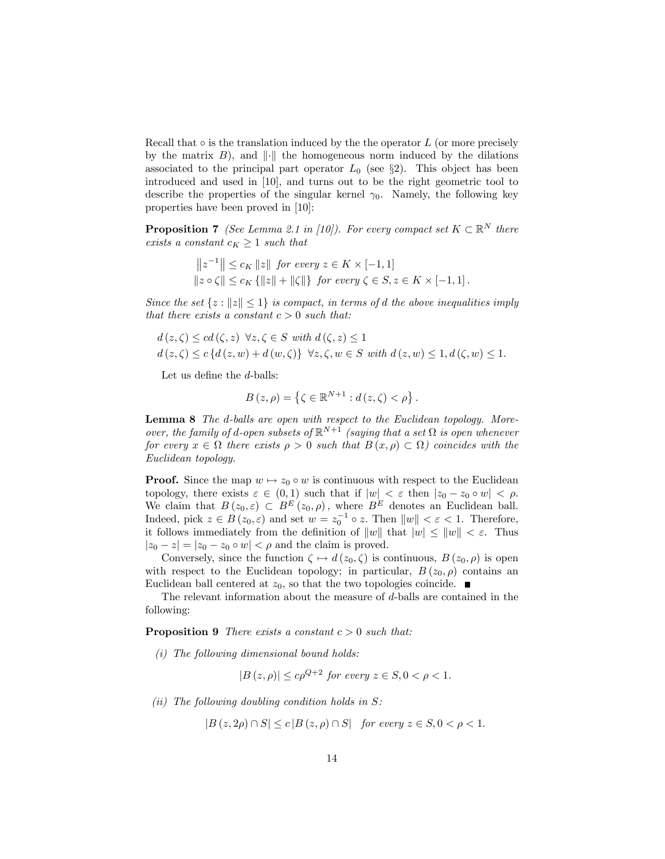Recall that  $\circ$  is the translation induced by the the operator L (or more precisely by the matrix  $B$ ), and  $\|\cdot\|$  the homogeneous norm induced by the dilations associated to the principal part operator  $L_0$  (see §2). This object has been introduced and used in [10], and turns out to be the right geometric tool to describe the properties of the singular kernel  $\gamma_0$ . Namely, the following key properties have been proved in [10]:

**Proposition 7** (See Lemma 2.1 in [10]). For every compact set  $K \subset \mathbb{R}^N$  there exists a constant  $c_K \geq 1$  such that

$$
||z^{-1}|| \leq c_K ||z|| \text{ for every } z \in K \times [-1, 1]
$$
  

$$
||z \circ \zeta|| \leq c_K \{||z|| + ||\zeta||\} \text{ for every } \zeta \in S, z \in K \times [-1, 1].
$$

Since the set  $\{z : ||z|| \leq 1\}$  is compact, in terms of d the above inequalities imply that there exists a constant  $c > 0$  such that:

$$
d(z,\zeta) \leq cd(\zeta,z) \quad \forall z,\zeta \in S \text{ with } d(\zeta,z) \leq 1
$$
  

$$
d(z,\zeta) \leq c\{d(z,w) + d(w,\zeta)\} \quad \forall z,\zeta,w \in S \text{ with } d(z,w) \leq 1, d(\zeta,w) \leq 1.
$$

Let us define the  $d$ -balls:

$$
B(z,\rho) = \left\{ \zeta \in \mathbb{R}^{N+1} : d(z,\zeta) < \rho \right\}.
$$

Lemma 8 The d-balls are open with respect to the Euclidean topology. Moreover, the family of d-open subsets of  $\mathbb{R}^{N+1}$  (saying that a set  $\Omega$  is open whenever for every  $x \in \Omega$  there exists  $\rho > 0$  such that  $B(x, \rho) \subset \Omega$ ) coincides with the Euclidean topology.

**Proof.** Since the map  $w \mapsto z_0 \circ w$  is continuous with respect to the Euclidean topology, there exists  $\varepsilon \in (0,1)$  such that if  $|w| < \varepsilon$  then  $|z_0 - z_0 \circ w| < \rho$ . We claim that  $B(z_0, \varepsilon) \subset B^E(z_0, \rho)$ , where  $B^E$  denotes an Euclidean ball. Indeed, pick  $z \in B(z_0, \varepsilon)$  and set  $w = z_0^{-1} \circ z$ . Then  $||w|| < \varepsilon < 1$ . Therefore, it follows immediately from the definition of  $||w||$  that  $|w| \leq ||w|| < \varepsilon$ . Thus  $|z_0 - z| = |z_0 - z_0 \circ w| < \rho$  and the claim is proved.

Conversely, since the function  $\zeta \mapsto d(z_0,\zeta)$  is continuous,  $B(z_0,\rho)$  is open with respect to the Euclidean topology; in particular,  $B(z_0, \rho)$  contains an Euclidean ball centered at  $z_0$ , so that the two topologies coincide.  $\blacksquare$ 

The relevant information about the measure of d-balls are contained in the following:

**Proposition 9** There exists a constant  $c > 0$  such that:

(i) The following dimensional bound holds:

$$
|B(z,\rho)| \le c\rho^{Q+2} \text{ for every } z \in S, 0 < \rho < 1.
$$

(ii) The following doubling condition holds in  $S$ :

$$
|B(z, 2\rho) \cap S| \le c |B(z, \rho) \cap S| \quad \text{for every } z \in S, 0 < \rho < 1.
$$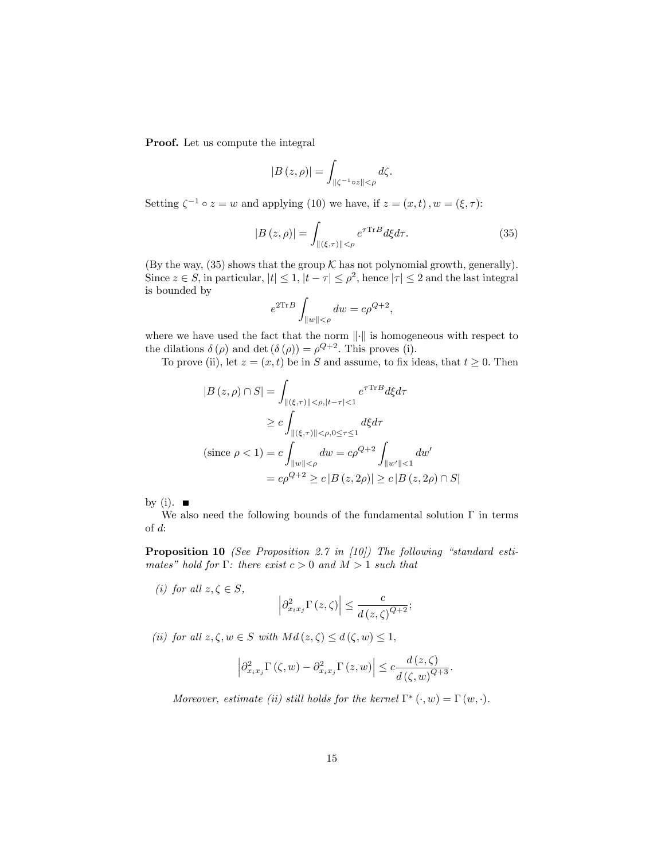Proof. Let us compute the integral

$$
|B(z,\rho)| = \int_{\|\zeta^{-1}\circ z\| < \rho} d\zeta.
$$

Setting  $\zeta^{-1} \circ z = w$  and applying (10) we have, if  $z = (x, t)$ ,  $w = (\xi, \tau)$ :

$$
|B(z,\rho)| = \int_{\|(\xi,\tau)\| < \rho} e^{\tau \text{Tr}B} d\xi d\tau.
$$
 (35)

(By the way, (35) shows that the group  $K$  has not polynomial growth, generally). Since  $z \in S$ , in particular,  $|t| \leq 1$ ,  $|t - \tau| \leq \rho^2$ , hence  $|\tau| \leq 2$  and the last integral is bounded by

$$
e^{2\mathrm{Tr}\, B}\int_{\|w\|<\rho} dw = c\rho^{Q+2},
$$

where we have used the fact that the norm  $\lVert \cdot \rVert$  is homogeneous with respect to the dilations  $\delta(\rho)$  and det  $(\delta(\rho)) = \rho^{Q+2}$ . This proves (i).

To prove (ii), let  $z = (x, t)$  be in S and assume, to fix ideas, that  $t \geq 0$ . Then

$$
|B(z, \rho) \cap S| = \int_{\|( \xi, \tau) \| < \rho, |t - \tau| < 1} e^{\tau \text{Tr}B} d\xi d\tau
$$
  
\n
$$
\geq c \int_{\|( \xi, \tau) \| < \rho, 0 \leq \tau \leq 1} d\xi d\tau
$$
  
\n(since  $\rho < 1$ ) =  $c \int_{\|w\| < \rho} dw = c\rho^{Q+2} \int_{\|w'\| < 1} dw'$   
\n
$$
= c\rho^{Q+2} \geq c |B(z, 2\rho)| \geq c |B(z, 2\rho) \cap S|
$$

by (i).  $\blacksquare$ 

We also need the following bounds of the fundamental solution  $\Gamma$  in terms of d:

**Proposition 10** (See Proposition 2.7 in [10]) The following "standard estimates" hold for  $\Gamma$ : there exist  $c > 0$  and  $M > 1$  such that

(i) for all  $z, \zeta \in S$ ,

$$
\left|\partial_{x_ix_j}^2\Gamma\left(z,\zeta\right)\right|\leq \frac{c}{d\left(z,\zeta\right)^{Q+2}};
$$

(ii) for all  $z, \zeta, w \in S$  with  $Md(z, \zeta) \leq d(\zeta, w) \leq 1$ ,

$$
\left|\partial_{x_ix_j}^2 \Gamma(\zeta, w) - \partial_{x_ix_j}^2 \Gamma(z, w)\right| \leq c \frac{d(z, \zeta)}{d(\zeta, w)^{Q+3}}.
$$

Moreover, estimate (ii) still holds for the kernel  $\Gamma^* (\cdot, w) = \Gamma(w, \cdot)$ .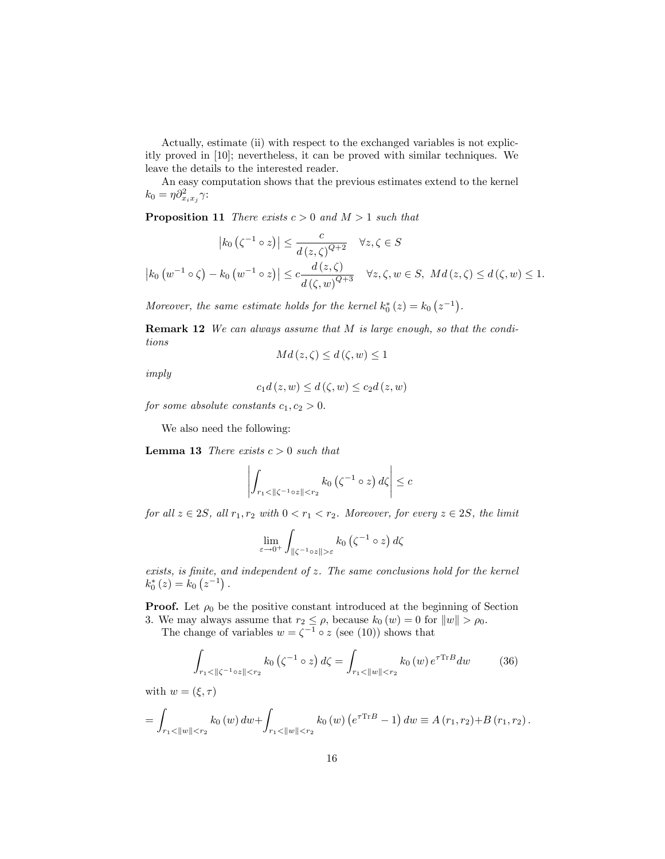Actually, estimate (ii) with respect to the exchanged variables is not explicitly proved in [10]; nevertheless, it can be proved with similar techniques. We leave the details to the interested reader.

An easy computation shows that the previous estimates extend to the kernel  $k_0 = \eta \partial_{x_i x_j}^2 \gamma$ :

**Proposition 11** There exists  $c > 0$  and  $M > 1$  such that

$$
\left| k_0 \left( \zeta^{-1} \circ z \right) \right| \leq \frac{c}{d(z, \zeta)^{Q+2}} \quad \forall z, \zeta \in S
$$
  

$$
\left| k_0 \left( w^{-1} \circ \zeta \right) - k_0 \left( w^{-1} \circ z \right) \right| \leq c \frac{d(z, \zeta)}{d(\zeta, w)^{Q+3}} \quad \forall z, \zeta, w \in S, \ M d(z, \zeta) \leq d(\zeta, w) \leq 1.
$$

Moreover, the same estimate holds for the kernel  $k_0^*(z) = k_0 (z^{-1})$ .

Remark 12 We can always assume that M is large enough, so that the conditions

$$
Md(z,\zeta) \leq d(\zeta,w) \leq 1
$$

imply

$$
c_1 d(z, w) \le d(\zeta, w) \le c_2 d(z, w)
$$

for some absolute constants  $c_1, c_2 > 0$ .

We also need the following:

**Lemma 13** There exists  $c > 0$  such that

$$
\left| \int_{r_1 < \| \zeta^{-1} \circ z \| < r_2} k_0 \left( \zeta^{-1} \circ z \right) d\zeta \right| \leq c
$$

for all  $z \in 2S$ , all  $r_1, r_2$  with  $0 < r_1 < r_2$ . Moreover, for every  $z \in 2S$ , the limit

$$
\lim_{\varepsilon \to 0^+} \int_{\|\zeta^{-1} \circ z\| > \varepsilon} k_0 \left( \zeta^{-1} \circ z \right) d\zeta
$$

 $exists, is finite, and independent of  $z$ . The same conclusions hold for the kernel$  $k_0^*(z) = k_0 (z^{-1}).$ 

**Proof.** Let  $\rho_0$  be the positive constant introduced at the beginning of Section 3. We may always assume that  $r_2 \leq \rho$ , because  $k_0(w) = 0$  for  $||w|| > \rho_0$ .

The change of variables  $w = \zeta^{-1} \circ z$  (see (10)) shows that

$$
\int_{r_1 < \| \zeta^{-1} \circ z \| < r_2} k_0 \left( \zeta^{-1} \circ z \right) d\zeta = \int_{r_1 < \| w \| < r_2} k_0 \left( w \right) e^{\tau \text{Tr} B} dw \tag{36}
$$

with  $w = (\xi, \tau)$ 

$$
= \int_{r_1 < ||w|| < r_2} k_0(w) \, dw + \int_{r_1 < ||w|| < r_2} k_0(w) \left( e^{\tau \text{Tr} B} - 1 \right) dw \equiv A(r_1, r_2) + B(r_1, r_2).
$$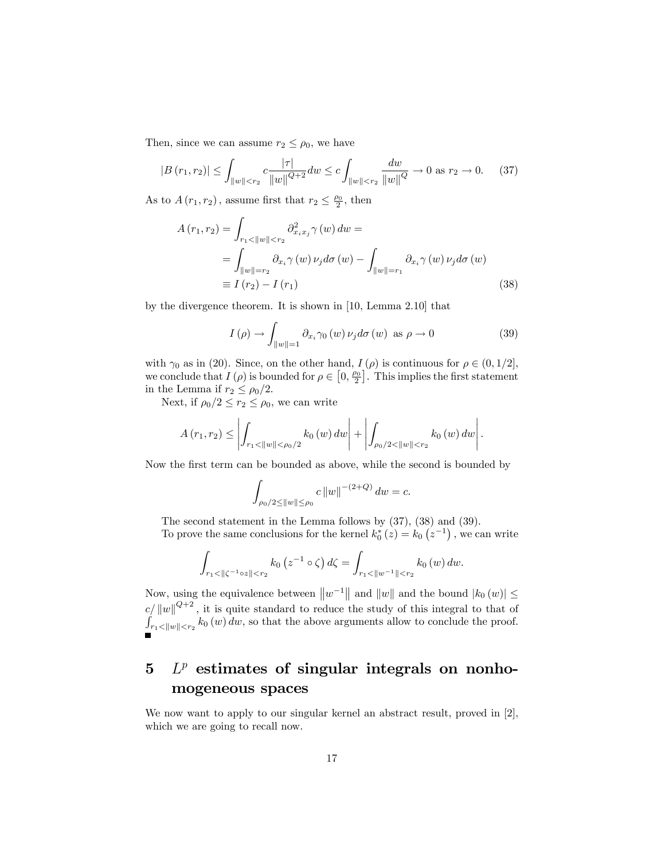Then, since we can assume  $r_2 \leq \rho_0$ , we have

$$
|B(r_1, r_2)| \le \int_{\|w\| < r_2} c \frac{|\tau|}{\|w\|^{Q+2}} dw \le c \int_{\|w\| < r_2} \frac{dw}{\|w\|^{Q}} \to 0 \text{ as } r_2 \to 0. \tag{37}
$$

As to  $A(r_1, r_2)$ , assume first that  $r_2 \leq \frac{\rho_0}{2}$ , then

$$
A(r_1, r_2) = \int_{r_1 < ||w|| < r_2} \partial_{x_i x_j}^2 \gamma(w) dw =
$$
  
= 
$$
\int_{||w|| = r_2} \partial_{x_i} \gamma(w) \nu_j d\sigma(w) - \int_{||w|| = r_1} \partial_{x_i} \gamma(w) \nu_j d\sigma(w)
$$
  
\equiv 
$$
I(r_2) - I(r_1)
$$
 (38)

by the divergence theorem. It is shown in [10, Lemma 2.10] that

$$
I(\rho) \to \int_{\|w\|=1} \partial_{x_i} \gamma_0(w) \nu_j d\sigma(w) \text{ as } \rho \to 0
$$
 (39)

with  $\gamma_0$  as in (20). Since, on the other hand,  $I(\rho)$  is continuous for  $\rho \in (0, 1/2]$ , we conclude that  $I(\rho)$  is bounded for  $\rho \in [0, \frac{\rho_0}{2}]$ . This implies the first statement in the Lemma if  $r_2 \leq \rho_0/2$ .

Next, if  $\rho_0/2 \le r_2 \le \rho_0$ , we can write

$$
A(r_1,r_2) \leq \left| \int_{r_1 < ||w|| < \rho_0/2} k_0(w) \, dw \right| + \left| \int_{\rho_0/2 < ||w|| < r_2} k_0(w) \, dw \right|.
$$

Now the first term can be bounded as above, while the second is bounded by

$$
\int_{\rho_0/2 \leq \|w\| \leq \rho_0} c \, \|w\|^{-(2+Q)} \, dw = c.
$$

The second statement in the Lemma follows by (37), (38) and (39). To prove the same conclusions for the kernel  $k_0^*(z) = k_0 (z^{-1})$ , we can write

$$
\int_{r_1 < ||\zeta^{-1} \circ z|| < r_2} k_0 \left( z^{-1} \circ \zeta \right) d\zeta = \int_{r_1 < ||w^{-1}|| < r_2} k_0 \left( w \right) dw.
$$

Now, using the equivalence between  $||w^{-1}||$  and  $||w||$  and the bound  $|k_0 (w)| \le$  $c/ ||w||^{Q+2}$ , it is quite standard to reduce the study of this integral to that of  $\int_{r_1 \le ||w|| \le r_2}^{\infty} k_0(w) dw$ , so that the above arguments allow to conclude the proof.

# $5$   $L^p$  estimates of singular integrals on nonhomogeneous spaces

We now want to apply to our singular kernel an abstract result, proved in [2], which we are going to recall now.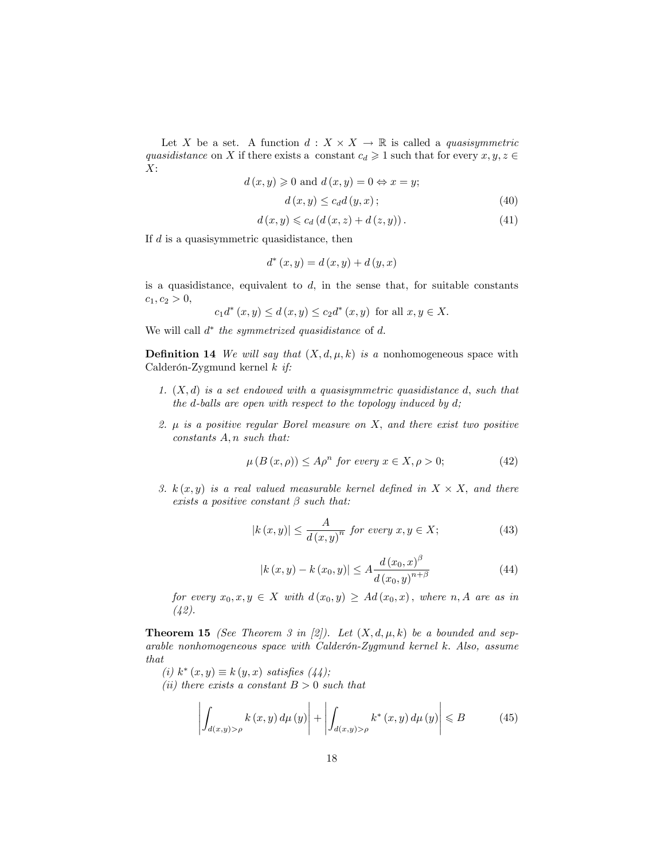Let X be a set. A function  $d: X \times X \to \mathbb{R}$  is called a *quasisymmetric* quasidistance on X if there exists a constant  $c_d \geq 1$  such that for every  $x, y, z \in$  $X$ :

$$
d(x, y) \ge 0
$$
 and  $d(x, y) = 0 \Leftrightarrow x = y$ ;  
 $d(x, y) \le c_d d(y, x)$ ;  
(40)

$$
d(x, y) \leq c_d (d(x, z) + d(z, y)).
$$
\n(41)

If  $d$  is a quasisymmetric quasidistance, then

$$
d^*(x, y) = d(x, y) + d(y, x)
$$

is a quasidistance, equivalent to  $d$ , in the sense that, for suitable constants  $c_1, c_2 > 0,$ 

$$
c_1d^*(x, y) \le d(x, y) \le c_2d^*(x, y)
$$
 for all  $x, y \in X$ .

We will call  $d^*$  the symmetrized quasidistance of d.

**Definition 14** We will say that  $(X, d, \mu, k)$  is a nonhomogeneous space with Calderón-Zygmund kernel  $k$  if:

- 1.  $(X, d)$  is a set endowed with a quasisymmetric quasidistance d, such that the d-balls are open with respect to the topology induced by  $d$ ;
- 2.  $\mu$  is a positive regular Borel measure on X, and there exist two positive  $constants A, n such that:$

$$
\mu(B(x,\rho)) \le A\rho^n \text{ for every } x \in X, \rho > 0; \tag{42}
$$

3.  $k(x, y)$  is a real valued measurable kernel defined in  $X \times X$ , and there exists a positive constant  $\beta$  such that:

$$
|k(x,y)| \le \frac{A}{d(x,y)^n} \text{ for every } x, y \in X; \tag{43}
$$

$$
|k(x, y) - k(x_0, y)| \le A \frac{d(x_0, x)^{\beta}}{d(x_0, y)^{n+\beta}}
$$
\n(44)

for every  $x_0, x, y \in X$  with  $d(x_0, y) \geq Ad(x_0, x)$ , where n, A are as in (42).

**Theorem 15** (See Theorem 3 in [2]). Let  $(X, d, \mu, k)$  be a bounded and sep $arable\ nonhomogeneous\ space\ with\ Calderón-Zygmund\ kernel\ k.\ Also,\ assume$ that

 $(i) k^*(x, y) \equiv k(y, x)$  satisfies  $(44)$ ;

(ii) there exists a constant  $B > 0$  such that

$$
\left| \int_{d(x,y) > \rho} k(x,y) \, d\mu(y) \right| + \left| \int_{d(x,y) > \rho} k^*(x,y) \, d\mu(y) \right| \leq B \tag{45}
$$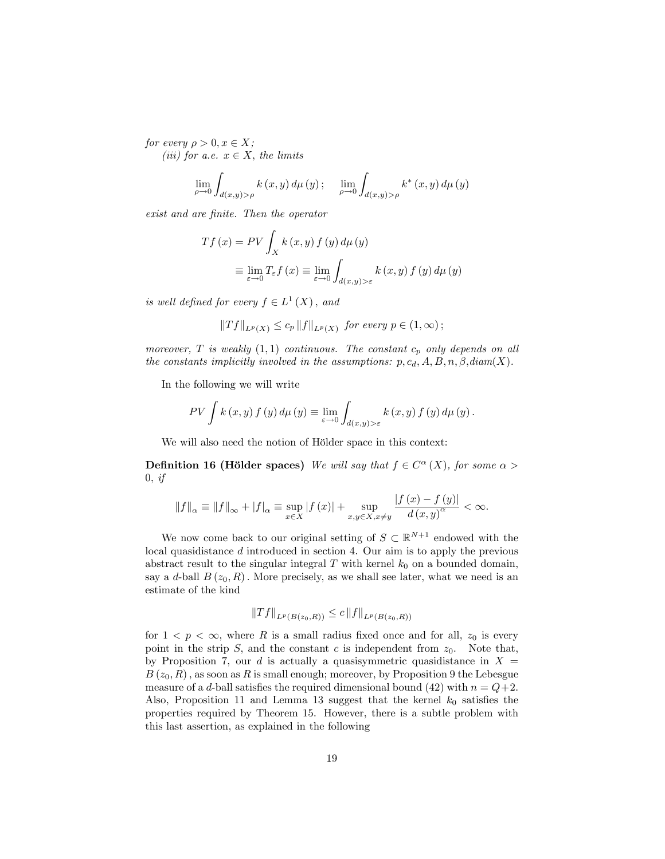for every  $\rho > 0, x \in X;$ (iii) for a.e.  $x \in X$ , the limits

$$
\lim_{\rho\to 0}\int_{d(x,y)>\rho}k\left(x,y\right)d\mu\left(y\right);\quad\lim_{\rho\to 0}\int_{d(x,y)>\rho}k^{*}\left(x,y\right)d\mu\left(y\right)
$$

exist and are finite. Then the operator

$$
Tf(x) = PV \int_X k(x, y) f(y) d\mu(y)
$$
  

$$
\equiv \lim_{\varepsilon \to 0} T_{\varepsilon} f(x) \equiv \lim_{\varepsilon \to 0} \int_{d(x, y) > \varepsilon} k(x, y) f(y) d\mu(y)
$$

is well defined for every  $f \in L^1(X)$ , and

$$
||Tf||_{L^p(X)} \le c_p ||f||_{L^p(X)} \text{ for every } p \in (1,\infty);
$$

moreover, T is weakly  $(1,1)$  continuous. The constant  $c_p$  only depends on all the constants implicitly involved in the assumptions:  $p, c_d, A, B, n, \beta, diam(X)$ .

In the following we will write

$$
PV \int k(x, y) f(y) d\mu(y) \equiv \lim_{\varepsilon \to 0} \int_{d(x, y) > \varepsilon} k(x, y) f(y) d\mu(y).
$$

We will also need the notion of Hölder space in this context:

**Definition 16 (Hölder spaces)** We will say that  $f \in C^{\alpha}(X)$ , for some  $\alpha >$  $0, if$ 

$$
\|f\|_{\alpha} \equiv \|f\|_{\infty} + |f|_{\alpha} \equiv \sup_{x \in X} |f(x)| + \sup_{x,y \in X, x \neq y} \frac{|f(x) - f(y)|}{d(x,y)^{\alpha}} < \infty.
$$

We now come back to our original setting of  $S \subset \mathbb{R}^{N+1}$  endowed with the local quasidistance d introduced in section 4. Our aim is to apply the previous abstract result to the singular integral  $T$  with kernel  $k_0$  on a bounded domain, say a d-ball  $B(z_0, R)$ . More precisely, as we shall see later, what we need is an estimate of the kind

$$
||Tf||_{L^p(B(z_0,R))} \leq c ||f||_{L^p(B(z_0,R))}
$$

for  $1 < p < \infty$ , where R is a small radius fixed once and for all,  $z_0$  is every point in the strip  $S$ , and the constant c is independent from  $z_0$ . Note that, by Proposition 7, our d is actually a quasisymmetric quasidistance in  $X =$  $B(z_0, R)$ , as soon as R is small enough; moreover, by Proposition 9 the Lebesgue measure of a d-ball satisfies the required dimensional bound (42) with  $n = Q+2$ . Also, Proposition 11 and Lemma 13 suggest that the kernel  $k_0$  satisfies the properties required by Theorem 15. However, there is a subtle problem with this last assertion, as explained in the following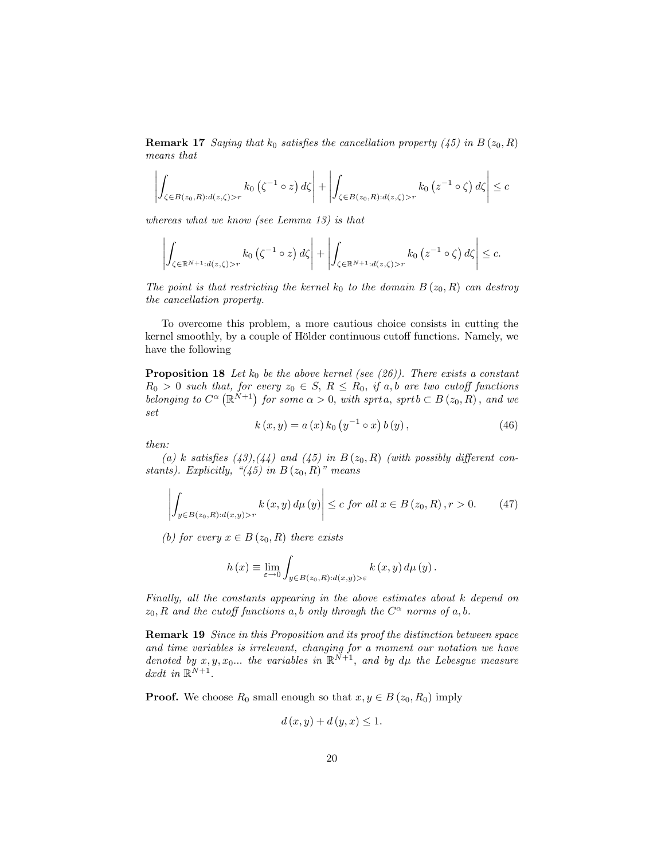**Remark 17** Saying that  $k_0$  satisfies the cancellation property (45) in  $B(z_0, R)$ means that

$$
\left| \int_{\zeta \in B(z_0, R) : d(z, \zeta) > r} k_0 \left( \zeta^{-1} \circ z \right) d\zeta \right| + \left| \int_{\zeta \in B(z_0, R) : d(z, \zeta) > r} k_0 \left( z^{-1} \circ \zeta \right) d\zeta \right| \leq c
$$

whereas what we know (see Lemma 13) is that

$$
\left| \int_{\zeta \in \mathbb{R}^{N+1} : d(z,\zeta) > r} k_0 \left( \zeta^{-1} \circ z \right) d\zeta \right| + \left| \int_{\zeta \in \mathbb{R}^{N+1} : d(z,\zeta) > r} k_0 \left( z^{-1} \circ \zeta \right) d\zeta \right| \leq c.
$$

The point is that restricting the kernel  $k_0$  to the domain  $B(z_0, R)$  can destroy the cancellation property.

To overcome this problem, a more cautious choice consists in cutting the kernel smoothly, by a couple of Hölder continuous cutoff functions. Namely, we have the following

**Proposition 18** Let  $k_0$  be the above kernel (see (26)). There exists a constant  $R_0 > 0$  such that, for every  $z_0 \in S$ ,  $R \leq R_0$ , if a, b are two cutoff functions belonging to  $C^{\alpha}(\mathbb{R}^{N+1})$  for some  $\alpha > 0$ , with sprta, sprtb  $\subset B(z_0, R)$ , and we set

$$
k(x, y) = a(x) k_0 (y^{-1} \circ x) b(y), \qquad (46)
$$

then:

(a) k satisfies (43),(44) and (45) in  $B(z_0, R)$  (with possibly different constants). Explicitly,  $\degree(45)$  in B  $(z_0, R)$ " means

$$
\left| \int_{y \in B(z_0, R): d(x, y) > r} k(x, y) d\mu(y) \right| \le c \text{ for all } x \in B(z_0, R), r > 0. \tag{47}
$$

(b) for every  $x \in B(z_0, R)$  there exists

$$
h(x) \equiv \lim_{\varepsilon \to 0} \int_{y \in B(z_0, R): d(x, y) > \varepsilon} k(x, y) d\mu(y).
$$

Finally, all the constants appearing in the above estimates about k depend on  $z_0, R$  and the cutoff functions a, b only through the  $C^{\alpha}$  norms of a, b.

Remark 19 Since in this Proposition and its proof the distinction between space and time variables is irrelevant, changing for a moment our notation we have denoted by  $x, y, x_0...$  the variables in  $\mathbb{R}^{N+1}$ , and by  $d\mu$  the Lebesgue measure dxdt in  $\mathbb{R}^{N+1}$ .

**Proof.** We choose  $R_0$  small enough so that  $x, y \in B(z_0, R_0)$  imply

$$
d(x, y) + d(y, x) \le 1.
$$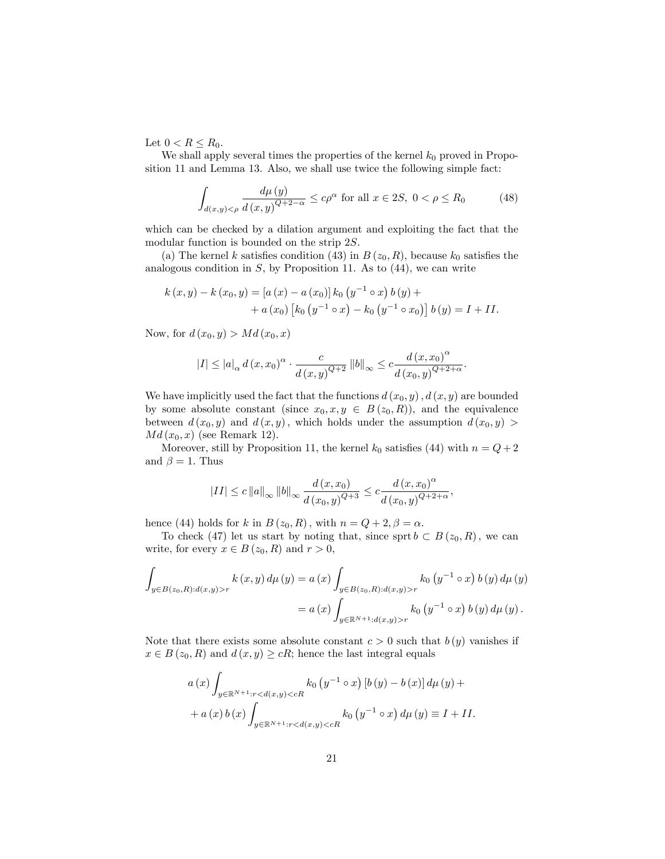Let  $0 < R \le R_0$ .

We shall apply several times the properties of the kernel  $k_0$  proved in Proposition 11 and Lemma 13. Also, we shall use twice the following simple fact:

$$
\int_{d(x,y)<\rho} \frac{d\mu\left(y\right)}{d\left(x,y\right)^{Q+2-\alpha}} \le c\rho^{\alpha} \text{ for all } x \in 2S, \ 0 < \rho \le R_0 \tag{48}
$$

which can be checked by a dilation argument and exploiting the fact that the modular function is bounded on the strip 2S.

(a) The kernel k satisfies condition (43) in  $B(z_0, R)$ , because  $k_0$  satisfies the analogous condition in  $S$ , by Proposition 11. As to  $(44)$ , we can write

$$
k(x,y) - k(x_0, y) = [a(x) - a(x_0)] k_0 (y^{-1} \circ x) b(y) ++ a(x_0) [k_0 (y^{-1} \circ x) - k_0 (y^{-1} \circ x_0)] b(y) = I + II.
$$

Now, for  $d(x_0, y) > Md(x_0, x)$ 

$$
|I| \leq |a|_{\alpha} d(x,x_0)^{\alpha} \cdot \frac{c}{d(x,y)^{Q+2}} \|b\|_{\infty} \leq c \frac{d(x,x_0)^{\alpha}}{d(x_0,y)^{Q+2+\alpha}}.
$$

We have implicitly used the fact that the functions  $d(x_0, y)$ ,  $d(x, y)$  are bounded by some absolute constant (since  $x_0, x, y \in B(z_0, R)$ ), and the equivalence between  $d(x_0, y)$  and  $d(x, y)$ , which holds under the assumption  $d(x_0, y)$  $Md(x_0, x)$  (see Remark 12).

Moreover, still by Proposition 11, the kernel  $k_0$  satisfies (44) with  $n = Q+2$ and  $\beta = 1$ . Thus

$$
\left|II\right|\leq c\left\|a\right\|_{\infty}\left\|b\right\|_{\infty}\frac{d\left(x,x_0\right)}{d\left(x_0,y\right)^{Q+3}}\leq c\frac{d\left(x,x_0\right)^{\alpha}}{d\left(x_0,y\right)^{Q+2+\alpha}},
$$

hence (44) holds for k in  $B(z_0, R)$ , with  $n = Q + 2, \beta = \alpha$ .

To check (47) let us start by noting that, since sprt  $b \subset B(z_0, R)$ , we can write, for every  $x \in B(z_0, R)$  and  $r > 0$ ,

$$
\int_{y \in B(z_0, R): d(x, y) > r} k(x, y) d\mu(y) = a(x) \int_{y \in B(z_0, R): d(x, y) > r} k_0(y^{-1} \circ x) b(y) d\mu(y)
$$

$$
= a(x) \int_{y \in \mathbb{R}^{N+1} : d(x, y) > r} k_0(y^{-1} \circ x) b(y) d\mu(y).
$$

Note that there exists some absolute constant  $c > 0$  such that  $b(y)$  vanishes if  $x \in B(z_0, R)$  and  $d(x, y) \ge cR$ ; hence the last integral equals

$$
a(x) \int_{y \in \mathbb{R}^{N+1}: r < d(x,y) < cR} k_0(y^{-1} \circ x) \left[ b(y) - b(x) \right] d\mu(y) +
$$
  
+ 
$$
a(x) b(x) \int_{y \in \mathbb{R}^{N+1}: r < d(x,y) < cR} k_0(y^{-1} \circ x) d\mu(y) \equiv I + II.
$$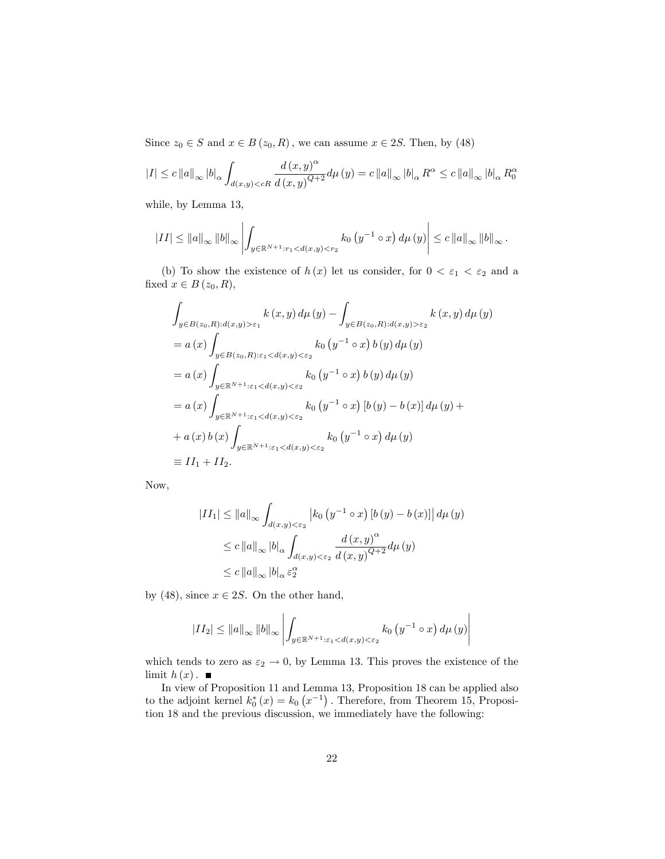Since  $z_0 \in S$  and  $x \in B(z_0, R)$ , we can assume  $x \in 2S$ . Then, by (48)

$$
|I| \leq c ||a||_{\infty} |b|_{\alpha} \int_{d(x,y) < cR} \frac{d(x,y)^{\alpha}}{d(x,y)^{Q+2}} d\mu(y) = c ||a||_{\infty} |b|_{\alpha} R^{\alpha} \leq c ||a||_{\infty} |b|_{\alpha} R^{\alpha}
$$

while, by Lemma 13,

$$
|II| \leq ||a||_{\infty} ||b||_{\infty} \left| \int_{y \in \mathbb{R}^{N+1} : r_1 < d(x,y) < r_2} k_0 \left( y^{-1} \circ x \right) d\mu \left( y \right) \right| \leq c ||a||_{\infty} ||b||_{\infty}.
$$

(b) To show the existence of  $h(x)$  let us consider, for  $0 < \varepsilon_1 < \varepsilon_2$  and a fixed  $x \in B(z_0, R)$ ,

$$
\int_{y \in B(z_0, R): d(x, y) > \varepsilon_1} k(x, y) d\mu(y) - \int_{y \in B(z_0, R): d(x, y) > \varepsilon_2} k(x, y) d\mu(y)
$$
\n
$$
= a(x) \int_{y \in B(z_0, R): \varepsilon_1 < d(x, y) < \varepsilon_2} k_0(y^{-1} \circ x) b(y) d\mu(y)
$$
\n
$$
= a(x) \int_{y \in \mathbb{R}^{N+1}: \varepsilon_1 < d(x, y) < \varepsilon_2} k_0(y^{-1} \circ x) b(y) d\mu(y)
$$
\n
$$
= a(x) \int_{y \in \mathbb{R}^{N+1}: \varepsilon_1 < d(x, y) < \varepsilon_2} k_0(y^{-1} \circ x) [b(y) - b(x)] d\mu(y) + a(x) b(x) \int_{y \in \mathbb{R}^{N+1}: \varepsilon_1 < d(x, y) < \varepsilon_2} k_0(y^{-1} \circ x) d\mu(y)
$$
\n
$$
= II_1 + II_2.
$$

Now,

$$
\begin{aligned} |II_1| &\leq \|a\|_{\infty} \int_{d(x,y)<\varepsilon_2} \left| k_0 \left( y^{-1} \circ x \right) [b \left( y \right) - b \left( x \right) ] \right| d\mu \left( y \right) \\ &\leq c \left\| a \right\|_{\infty} |b|_{\alpha} \int_{d(x,y)<\varepsilon_2} \frac{d \left( x,y \right) ^{\alpha}}{d \left( x,y \right)^{Q+2}} d\mu \left( y \right) \\ &\leq c \left\| a \right\|_{\infty} |b|_{\alpha} \varepsilon_2^{\alpha} \end{aligned}
$$

by (48), since  $x \in 2S$ . On the other hand,

$$
|II_2| \le ||a||_{\infty} ||b||_{\infty} \left| \int_{y \in \mathbb{R}^{N+1} : \varepsilon_1 < d(x,y) < \varepsilon_2} k_0 \left( y^{-1} \circ x \right) d\mu \left( y \right) \right|
$$

which tends to zero as  $\varepsilon_2 \to 0$ , by Lemma 13. This proves the existence of the limit  $h(x)$ .

In view of Proposition 11 and Lemma 13, Proposition 18 can be applied also to the adjoint kernel  $k_0^*(x) = k_0(x^{-1})$ . Therefore, from Theorem 15, Proposition 18 and the previous discussion, we immediately have the following: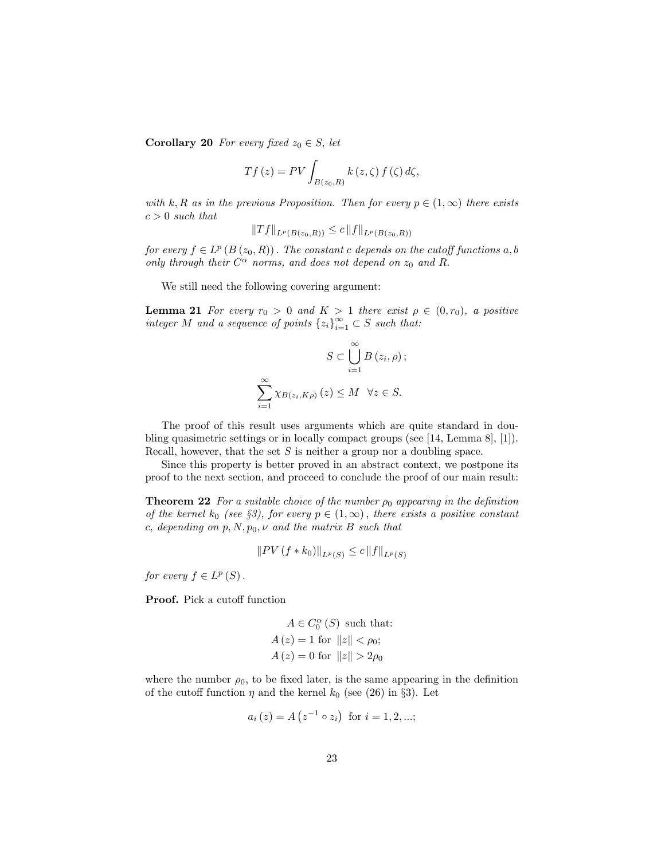**Corollary 20** For every fixed  $z_0 \in S$ , let

$$
Tf(z) = PV \int_{B(z_0, R)} k(z, \zeta) f(\zeta) d\zeta,
$$

with k, R as in the previous Proposition. Then for every  $p \in (1,\infty)$  there exists  $c > 0$  such that

$$
|Tf||_{L^p(B(z_0,R))} \leq c ||f||_{L^p(B(z_0,R))}
$$

for every  $f \in L^p(B(z_0,R))$ . The constant c depends on the cutoff functions  $a, b$ only through their  $C^{\alpha}$  norms, and does not depend on  $z_0$  and R.

We still need the following covering argument:

**Lemma 21** For every  $r_0 > 0$  and  $K > 1$  there exist  $\rho \in (0, r_0)$ , a positive integer M and a sequence of points  $\{z_i\}_{i=1}^{\infty} \subset S$  such that:

$$
S \subset \bigcup_{i=1}^{\infty} B(z_i, \rho);
$$
  

$$
\sum_{i=1}^{\infty} \chi_{B(z_i, K\rho)}(z) \le M \quad \forall z \in S.
$$

The proof of this result uses arguments which are quite standard in doubling quasimetric settings or in locally compact groups (see [14, Lemma 8], [1]). Recall, however, that the set  $S$  is neither a group nor a doubling space.

Since this property is better proved in an abstract context, we postpone its proof to the next section, and proceed to conclude the proof of our main result:

**Theorem 22** For a suitable choice of the number  $\rho_0$  appearing in the definition of the kernel  $k_0$  (see §3), for every  $p \in (1,\infty)$ , there exists a positive constant c, depending on  $p, N, p_0, \nu$  and the matrix B such that

$$
||PV(f*k_0)||_{L^p(S)} \le c ||f||_{L^p(S)}
$$

for every  $f \in L^p(S)$ .

**Proof.** Pick a cutoff function

$$
A \in C_0^{\alpha} (S) \text{ such that:}
$$
  

$$
A (z) = 1 \text{ for } ||z|| < \rho_0;
$$
  

$$
A (z) = 0 \text{ for } ||z|| > 2\rho_0
$$

where the number  $\rho_0$ , to be fixed later, is the same appearing in the definition of the cutoff function  $\eta$  and the kernel  $k_0$  (see (26) in §3). Let

$$
a_i(z) = A(z^{-1} \circ z_i)
$$
 for  $i = 1, 2, ...;$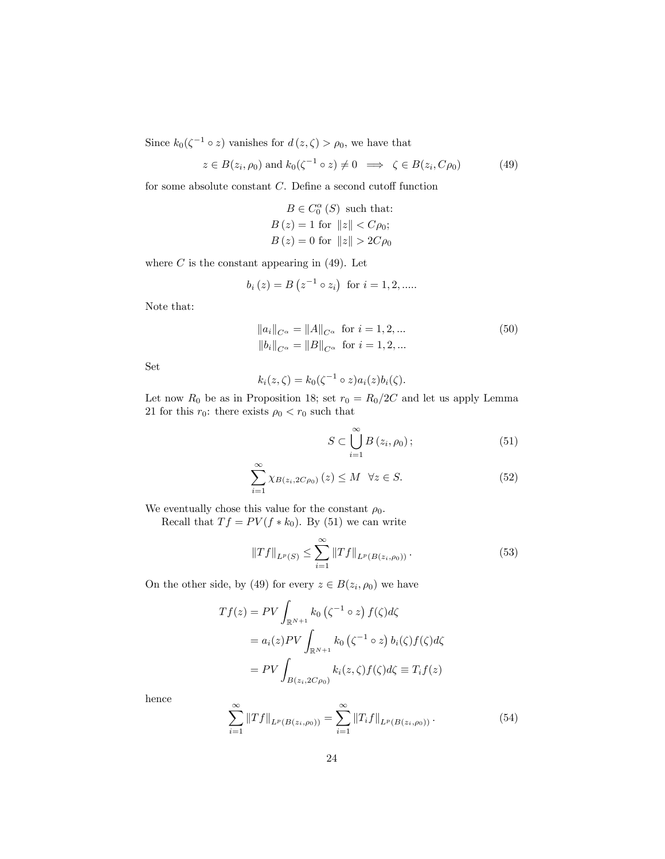Since  $k_0(\zeta^{-1} \circ z)$  vanishes for  $d(z, \zeta) > \rho_0$ , we have that

$$
z \in B(z_i, \rho_0) \text{ and } k_0(\zeta^{-1} \circ z) \neq 0 \implies \zeta \in B(z_i, C\rho_0) \tag{49}
$$

for some absolute constant  $C$ . Define a second cutoff function

$$
B \in C_0^{\alpha}(S) \text{ such that:}
$$
  
 
$$
B(z) = 1 \text{ for } ||z|| < C\rho_0;
$$
  
 
$$
B(z) = 0 \text{ for } ||z|| > 2C\rho_0
$$

where  $C$  is the constant appearing in  $(49)$ . Let

$$
b_i(z) = B(z^{-1} \circ z_i)
$$
 for  $i = 1, 2, \dots$ 

Note that:

$$
||a_i||_{C^{\alpha}} = ||A||_{C^{\alpha}} \text{ for } i = 1, 2, ...
$$
  
\n
$$
||b_i||_{C^{\alpha}} = ||B||_{C^{\alpha}} \text{ for } i = 1, 2, ...
$$
\n(50)

Set

$$
k_i(z,\zeta) = k_0(\zeta^{-1} \circ z)a_i(z)b_i(\zeta).
$$

Let now  $R_0$  be as in Proposition 18; set  $r_0 = R_0/2C$  and let us apply Lemma 21 for this  $r_0$ : there exists  $\rho_0 < r_0$  such that

$$
S \subset \bigcup_{i=1}^{\infty} B(z_i, \rho_0); \tag{51}
$$

$$
\sum_{i=1}^{\infty} \chi_{B(z_i, 2C\rho_0)}(z) \le M \quad \forall z \in S.
$$
 (52)

We eventually chose this value for the constant  $\rho_0$ .

Recall that  $Tf = PV(f * k_0)$ . By (51) we can write

$$
||Tf||_{L^{p}(S)} \leq \sum_{i=1}^{\infty} ||Tf||_{L^{p}(B(z_{i},\rho_{0}))}. \tag{53}
$$

On the other side, by (49) for every  $z \in B(z_i, \rho_0)$  we have

$$
Tf(z) = PV \int_{\mathbb{R}^{N+1}} k_0 (\zeta^{-1} \circ z) f(\zeta) d\zeta
$$
  
=  $a_i(z) PV \int_{\mathbb{R}^{N+1}} k_0 (\zeta^{-1} \circ z) b_i(\zeta) f(\zeta) d\zeta$   
=  $PV \int_{B(z_i, 2C\rho_0)} k_i(z, \zeta) f(\zeta) d\zeta \equiv T_i f(z)$ 

hence

$$
\sum_{i=1}^{\infty} \|Tf\|_{L^p(B(z_i,\rho_0))} = \sum_{i=1}^{\infty} \|T_i f\|_{L^p(B(z_i,\rho_0))}.
$$
\n(54)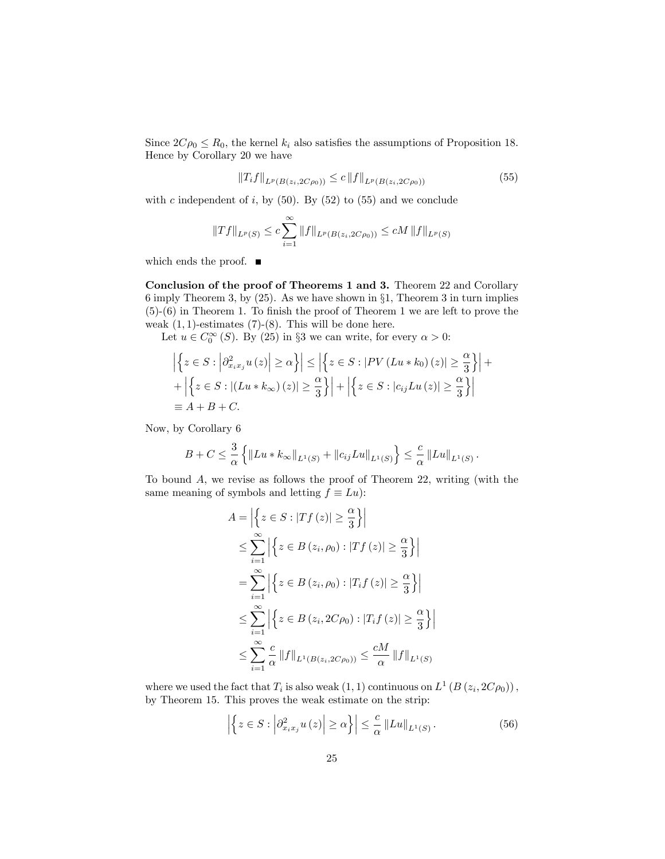Since  $2C\rho_0 \leq R_0$ , the kernel  $k_i$  also satisfies the assumptions of Proposition 18. Hence by Corollary 20 we have

$$
||T_i f||_{L^p(B(z_i, 2C\rho_0))} \leq c ||f||_{L^p(B(z_i, 2C\rho_0))}
$$
\n(55)

with c independent of i, by  $(50)$ . By  $(52)$  to  $(55)$  and we conclude

$$
||Tf||_{L^{p}(S)} \leq c \sum_{i=1}^{\infty} ||f||_{L^{p}(B(z_{i}, 2C\rho_{0}))} \leq cM ||f||_{L^{p}(S)}
$$

which ends the proof.  $\blacksquare$ 

Conclusion of the proof of Theorems 1 and 3. Theorem 22 and Corollary 6 imply Theorem 3, by  $(25)$ . As we have shown in  $\S1$ , Theorem 3 in turn implies  $(5)-(6)$  in Theorem 1. To finish the proof of Theorem 1 we are left to prove the weak  $(1, 1)$ -estimates  $(7)$ - $(8)$ . This will be done here.

Let  $u \in C_0^{\infty} (S)$ . By (25) in §3 we can write, for every  $\alpha > 0$ :

$$
\left| \left\{ z \in S : \left| \partial_{x_i x_j}^2 u(z) \right| \ge \alpha \right\} \right| \le \left| \left\{ z \in S : \left| PV \left( Lu * k_0 \right) (z) \right| \ge \frac{\alpha}{3} \right\} \right| + \left| \left\{ z \in S : \left| \left( Lu * k_\infty \right) (z) \right| \ge \frac{\alpha}{3} \right\} \right| + \left| \left\{ z \in S : \left| c_{ij} Lu \left( z \right) \right| \ge \frac{\alpha}{3} \right\} \right| \right|
$$
  
\n
$$
\equiv A + B + C.
$$

Now, by Corollary 6

$$
B + C \leq \frac{3}{\alpha} \left\{ ||Lu * k_{\infty}||_{L^{1}(S)} + ||c_{ij}Lu||_{L^{1}(S)} \right\} \leq \frac{c}{\alpha} ||Lu||_{L^{1}(S)}.
$$

To bound  $A$ , we revise as follows the proof of Theorem 22, writing (with the same meaning of symbols and letting  $f \equiv Lu$ :

$$
A = \left| \left\{ z \in S : |Tf(z)| \ge \frac{\alpha}{3} \right\} \right|
$$
  
\n
$$
\le \sum_{i=1}^{\infty} \left| \left\{ z \in B(z_i, \rho_0) : |Tf(z)| \ge \frac{\alpha}{3} \right\} \right|
$$
  
\n
$$
= \sum_{i=1}^{\infty} \left| \left\{ z \in B(z_i, \rho_0) : |T_i f(z)| \ge \frac{\alpha}{3} \right\} \right|
$$
  
\n
$$
\le \sum_{i=1}^{\infty} \left| \left\{ z \in B(z_i, 2C\rho_0) : |T_i f(z)| \ge \frac{\alpha}{3} \right\} \right|
$$
  
\n
$$
\le \sum_{i=1}^{\infty} \frac{c}{\alpha} ||f||_{L^1(B(z_i, 2C\rho_0))} \le \frac{cM}{\alpha} ||f||_{L^1(S)}
$$

where we used the fact that  $T_i$  is also weak  $(1,1)$  continuous on  $L^1(B(z_i, 2C\rho_0))$ , by Theorem 15. This proves the weak estimate on the strip:

$$
\left| \left\{ z \in S : \left| \partial_{x_i x_j}^2 u(z) \right| \ge \alpha \right\} \right| \le \frac{c}{\alpha} \left\| L u \right\|_{L^1(S)}.
$$
\n(56)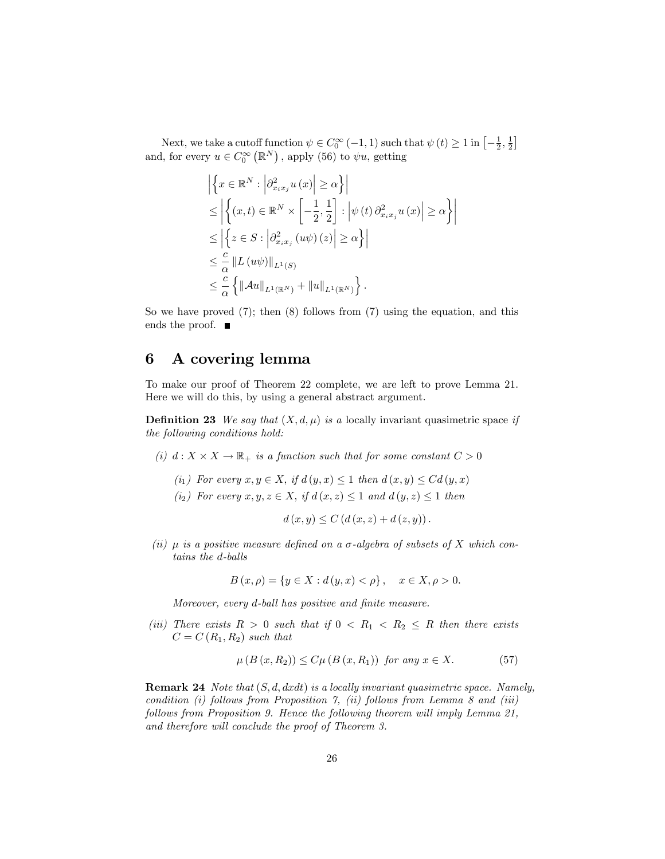Next, we take a cutoff function  $\psi \in C_0^{\infty}(-1, 1)$  such that  $\psi(t) \geq 1$  in  $\left[-\frac{1}{2}, \frac{1}{2}\right]$ and, for every  $u \in C_0^{\infty}(\mathbb{R}^N)$ , apply (56) to  $\psi u$ , getting

$$
\left| \left\{ x \in \mathbb{R}^N : \left| \partial_{x_i x_j}^2 u(x) \right| \ge \alpha \right\} \right|
$$
  
\n
$$
\le \left| \left\{ (x, t) \in \mathbb{R}^N \times \left[ -\frac{1}{2}, \frac{1}{2} \right] : \left| \psi(t) \partial_{x_i x_j}^2 u(x) \right| \ge \alpha \right\} \right|
$$
  
\n
$$
\le \left| \left\{ z \in S : \left| \partial_{x_i x_j}^2 (u\psi)(z) \right| \ge \alpha \right\} \right|
$$
  
\n
$$
\le \frac{c}{\alpha} \left\| L (u\psi) \right\|_{L^1(S)}
$$
  
\n
$$
\le \frac{c}{\alpha} \left\{ \left\| A u \right\|_{L^1(\mathbb{R}^N)} + \left\| u \right\|_{L^1(\mathbb{R}^N)} \right\}.
$$

So we have proved  $(7)$ ; then  $(8)$  follows from  $(7)$  using the equation, and this ends the proof.  $\blacksquare$ 

# 6 A covering lemma

To make our proof of Theorem 22 complete, we are left to prove Lemma 21. Here we will do this, by using a general abstract argument.

**Definition 23** We say that  $(X, d, \mu)$  is a locally invariant quasimetric space if the following conditions hold:

- (i)  $d: X \times X \to \mathbb{R}_+$  is a function such that for some constant  $C > 0$ 
	- (i<sub>1</sub>) For every  $x, y \in X$ , if  $d(y, x) \leq 1$  then  $d(x, y) \leq C d(y, x)$
	- (i<sub>2</sub>) For every  $x, y, z \in X$ , if  $d(x, z) \leq 1$  and  $d(y, z) \leq 1$  then

$$
d(x, y) \leq C (d(x, z) + d(z, y)).
$$

(ii)  $\mu$  is a positive measure defined on a  $\sigma$ -algebra of subsets of X which contains the d-balls

$$
B(x, \rho) = \{ y \in X : d(y, x) < \rho \}, \quad x \in X, \rho > 0.
$$

Moreover, every d-ball has positive and finite measure.

(iii) There exists  $R > 0$  such that if  $0 < R_1 < R_2 \leq R$  then there exists  $C = C(R_1, R_2)$  such that

$$
\mu\left(B\left(x,R_2\right)\right) \le C\mu\left(B\left(x,R_1\right)\right) \text{ for any } x \in X. \tag{57}
$$

**Remark 24** Note that  $(S, d, dxdt)$  is a locally invariant quasimetric space. Namely, condition  $(i)$  follows from Proposition 7,  $(ii)$  follows from Lemma 8 and  $(iii)$ follows from Proposition 9. Hence the following theorem will imply Lemma 21, and therefore will conclude the proof of Theorem 3.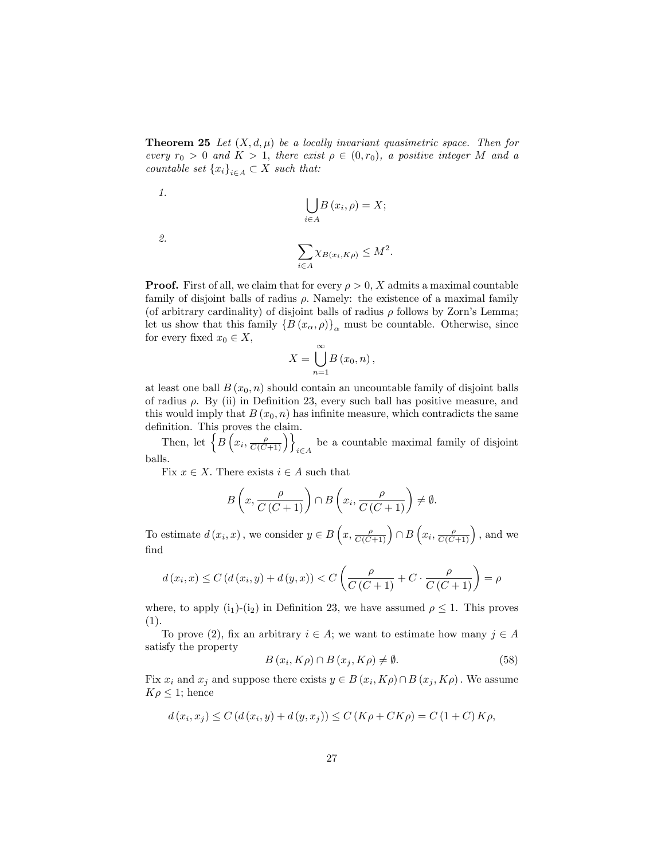**Theorem 25** Let  $(X, d, \mu)$  be a locally invariant quasimetric space. Then for every  $r_0 > 0$  and  $K > 1$ , there exist  $\rho \in (0, r_0)$ , a positive integer M and a countable set  ${x_i}_{i \in A} \subset X$  such that:

$$
\bigcup_{i\in A} B(x_i,\rho) = X;
$$

2.

1.

$$
\sum_{i\in A} \chi_{B(x_i,K\rho)} \leq M^2.
$$

**Proof.** First of all, we claim that for every  $\rho > 0$ , X admits a maximal countable family of disjoint balls of radius  $\rho$ . Namely: the existence of a maximal family (of arbitrary cardinality) of disjoint balls of radius  $\rho$  follows by Zorn's Lemma; let us show that this family  $\{B(x_{\alpha}, \rho)\}_{\alpha}$  must be countable. Otherwise, since for every fixed  $x_0 \in X$ ,

$$
X=\bigcup_{n=1}^{\infty}B\left(x_{0},n\right),
$$

at least one ball  $B(x_0, n)$  should contain an uncountable family of disjoint balls of radius  $\rho$ . By (ii) in Definition 23, every such ball has positive measure, and this would imply that  $B(x_0, n)$  has infinite measure, which contradicts the same definition. This proves the claim.

Then, let  $\left\{ \overrightarrow{B}\left(x_{i}, \frac{\rho}{C(C+1)}\right)\right\}_{i\in A}$ be a countable maximal family of disjoint balls.

Fix  $x \in X$ . There exists  $i \in A$  such that

$$
B\left(x, \frac{\rho}{C\left(C+1\right)}\right) \cap B\left(x_i, \frac{\rho}{C\left(C+1\right)}\right) \neq \emptyset.
$$

To estimate  $d(x_i, x)$ , we consider  $y \in B\left(x, \frac{\rho}{C(C+1)}\right) \cap B\left(x_i, \frac{\rho}{C(C+1)}\right)$ , and we Önd

$$
d(x_i, x) \le C\left(d(x_i, y) + d(y, x)\right) < C\left(\frac{\rho}{C\left(C + 1\right)} + C \cdot \frac{\rho}{C\left(C + 1\right)}\right) = \rho
$$

where, to apply  $(i_1)-(i_2)$  in Definition 23, we have assumed  $\rho \leq 1$ . This proves (1).

To prove (2), fix an arbitrary  $i \in A$ ; we want to estimate how many  $j \in A$ satisfy the property

$$
B(x_i, K\rho) \cap B(x_j, K\rho) \neq \emptyset.
$$
\n(58)

Fix  $x_i$  and  $x_j$  and suppose there exists  $y \in B(x_i, K\rho) \cap B(x_j, K\rho)$ . We assume  $K\rho \leq 1$ ; hence

$$
d(x_i, x_j) \le C (d(x_i, y) + d(y, x_j)) \le C (K\rho + CK\rho) = C (1 + C) K\rho,
$$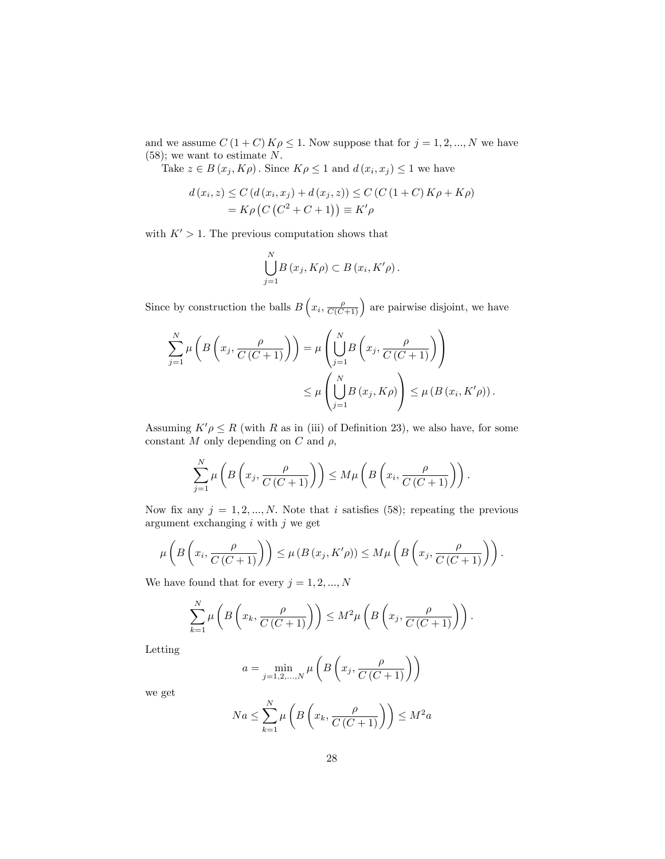and we assume  $C\left(1+C\right)K\rho\leq1.$  Now suppose that for  $j=1,2,...,N$  we have (58); we want to estimate N.

Take  $z \in B(x_j, K\rho)$ . Since  $K\rho \leq 1$  and  $d(x_i, x_j) \leq 1$  we have

$$
d(x_i, z) \le C (d(x_i, x_j) + d(x_j, z)) \le C (C (1 + C) K \rho + K \rho)
$$
  
=  $K \rho (C (C^2 + C + 1)) \equiv K' \rho$ 

with  $K' > 1$ . The previous computation shows that

$$
\bigcup_{j=1}^{N} B(x_j, K\rho) \subset B(x_i, K'\rho).
$$

Since by construction the balls  $B\left(x_i, \frac{\rho}{C(C+1)}\right)$  are pairwise disjoint, we have

$$
\sum_{j=1}^{N} \mu\left(B\left(x_j, \frac{\rho}{C(C+1)}\right)\right) = \mu\left(\bigcup_{j=1}^{N} B\left(x_j, \frac{\rho}{C(C+1)}\right)\right)
$$

$$
\leq \mu\left(\bigcup_{j=1}^{N} B\left(x_j, K\rho\right)\right) \leq \mu\left(B\left(x_i, K'\rho\right)\right).
$$

Assuming  $K'\rho \leq R$  (with R as in (iii) of Definition 23), we also have, for some constant  $M$  only depending on  $C$  and  $\rho$ ,

$$
\sum_{j=1}^N \mu\left(B\left(x_j, \frac{\rho}{C\left(C+1\right)}\right)\right) \le M\mu\left(B\left(x_i, \frac{\rho}{C\left(C+1\right)}\right)\right).
$$

Now fix any  $j = 1, 2, ..., N$ . Note that i satisfies (58); repeating the previous argument exchanging  $i$  with  $j$  we get

$$
\mu\left(B\left(x_i,\frac{\rho}{C\left(C+1\right)}\right)\right)\leq\mu\left(B\left(x_j,K'\rho\right)\right)\leq M\mu\left(B\left(x_j,\frac{\rho}{C\left(C+1\right)}\right)\right).
$$

We have found that for every  $j = 1, 2, ..., N$ 

$$
\sum_{k=1}^{N} \mu\left(B\left(x_k, \frac{\rho}{C\left(C+1\right)}\right)\right) \le M^2 \mu\left(B\left(x_j, \frac{\rho}{C\left(C+1\right)}\right)\right).
$$

Letting

$$
a = \min_{j=1,2,\dots,N} \mu\left(B\left(x_j, \frac{\rho}{C\left(C+1\right)}\right)\right)
$$

we get

$$
Na \le \sum_{k=1}^{N} \mu\left(B\left(x_k, \frac{\rho}{C\left(C+1\right)}\right)\right) \le M^2 a
$$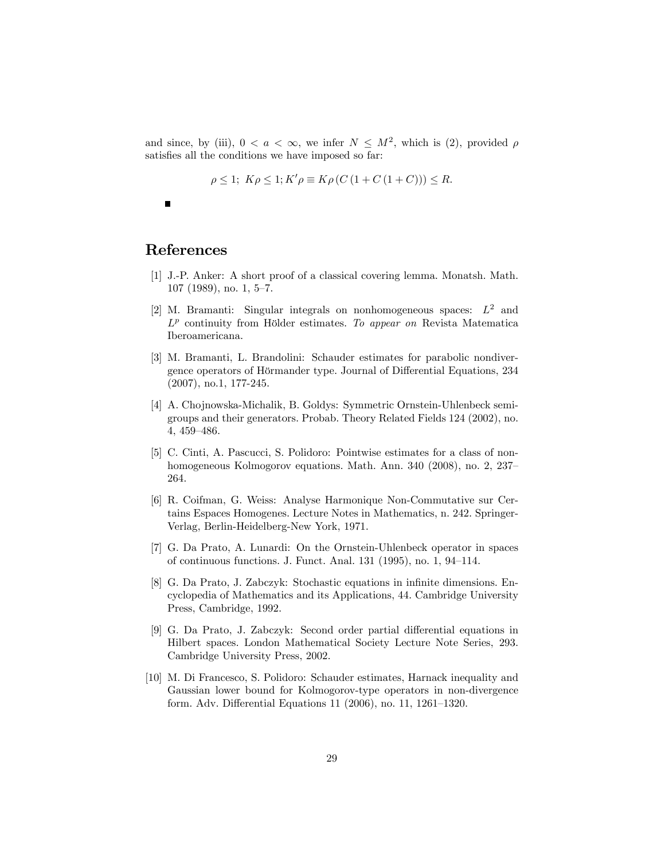and since, by (iii),  $0 < a < \infty$ , we infer  $N \leq M^2$ , which is (2), provided  $\rho$ satisfies all the conditions we have imposed so far:

$$
\rho \le 1; \ K\rho \le 1; K'\rho \equiv K\rho \left( C \left( 1 + C \left( 1 + C \right) \right) \right) \le R.
$$

 $\blacksquare$ 

# References

- [1] J.-P. Anker: A short proof of a classical covering lemma. Monatsh. Math.  $107$  (1989), no. 1, 5–7.
- [2] M. Bramanti: Singular integrals on nonhomogeneous spaces:  $L^2$  and  $L^p$  continuity from Hölder estimates. To appear on Revista Matematica Iberoamericana.
- [3] M. Bramanti, L. Brandolini: Schauder estimates for parabolic nondivergence operators of Hörmander type. Journal of Differential Equations, 234 (2007), no.1, 177-245.
- [4] A. Chojnowska-Michalik, B. Goldys: Symmetric Ornstein-Uhlenbeck semigroups and their generators. Probab. Theory Related Fields 124 (2002), no. 4, 459-486.
- [5] C. Cinti, A. Pascucci, S. Polidoro: Pointwise estimates for a class of nonhomogeneous Kolmogorov equations. Math. Ann. 340 (2008), no. 2, 237– 264.
- [6] R. Coifman, G. Weiss: Analyse Harmonique Non-Commutative sur Certains Espaces Homogenes. Lecture Notes in Mathematics, n. 242. Springer-Verlag, Berlin-Heidelberg-New York, 1971.
- [7] G. Da Prato, A. Lunardi: On the Ornstein-Uhlenbeck operator in spaces of continuous functions. J. Funct. Anal.  $131$  (1995), no. 1, 94–114.
- [8] G. Da Prato, J. Zabczyk: Stochastic equations in infinite dimensions. Encyclopedia of Mathematics and its Applications, 44. Cambridge University Press, Cambridge, 1992.
- [9] G. Da Prato, J. Zabczyk: Second order partial differential equations in Hilbert spaces. London Mathematical Society Lecture Note Series, 293. Cambridge University Press, 2002.
- [10] M. Di Francesco, S. Polidoro: Schauder estimates, Harnack inequality and Gaussian lower bound for Kolmogorov-type operators in non-divergence form. Adv. Differential Equations 11 (2006), no. 11, 1261–1320.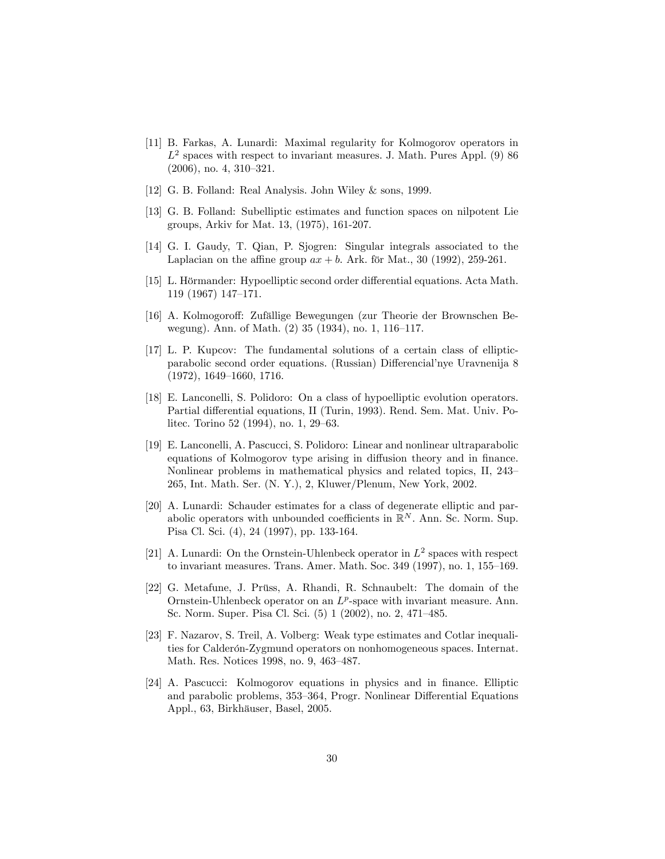- [11] B. Farkas, A. Lunardi: Maximal regularity for Kolmogorov operators in  $L^2$  spaces with respect to invariant measures. J. Math. Pures Appl. (9) 86  $(2006)$ , no. 4, 310–321.
- [12] G. B. Folland: Real Analysis. John Wiley & sons, 1999.
- [13] G. B. Folland: Subelliptic estimates and function spaces on nilpotent Lie groups, Arkiv for Mat. 13, (1975), 161-207.
- [14] G. I. Gaudy, T. Qian, P. Sjogren: Singular integrals associated to the Laplacian on the affine group  $ax + b$ . Ark. för Mat., 30 (1992), 259-261.
- [15] L. Hörmander: Hypoelliptic second order differential equations. Acta Math.  $119$  (1967) 147–171.
- [16] A. Kolmogoroff: Zufällige Bewegungen (zur Theorie der Brownschen Bewegung). Ann. of Math.  $(2)$  35  $(1934)$ , no. 1, 116–117.
- [17] L. P. Kupcov: The fundamental solutions of a certain class of ellipticparabolic second order equations. (Russian) Differencial'nye Uravnenija 8  $(1972), 1649–1660, 1716.$
- [18] E. Lanconelli, S. Polidoro: On a class of hypoelliptic evolution operators. Partial differential equations, II (Turin, 1993). Rend. Sem. Mat. Univ. Politec. Torino 52 (1994), no. 1, 29–63.
- [19] E. Lanconelli, A. Pascucci, S. Polidoro: Linear and nonlinear ultraparabolic equations of Kolmogorov type arising in diffusion theory and in finance. Nonlinear problems in mathematical physics and related topics, II, 243– 265, Int. Math. Ser. (N. Y.), 2, Kluwer/Plenum, New York, 2002.
- [20] A. Lunardi: Schauder estimates for a class of degenerate elliptic and parabolic operators with unbounded coefficients in  $\mathbb{R}^N$ . Ann. Sc. Norm. Sup. Pisa Cl. Sci. (4), 24 (1997), pp. 133-164.
- [21] A. Lunardi: On the Ornstein-Uhlenbeck operator in  $L^2$  spaces with respect to invariant measures. Trans. Amer. Math. Soc.  $349$  (1997), no. 1, 155–169.
- [22] G. Metafune, J. Prüss, A. Rhandi, R. Schnaubelt: The domain of the Ornstein-Uhlenbeck operator on an  $L^p$ -space with invariant measure. Ann. Sc. Norm. Super. Pisa Cl. Sci. (5) 1 (2002), no. 2, 471–485.
- [23] F. Nazarov, S. Treil, A. Volberg: Weak type estimates and Cotlar inequalities for Calderón-Zygmund operators on nonhomogeneous spaces. Internat. Math. Res. Notices 1998, no. 9, 463-487.
- [24] A. Pascucci: Kolmogorov equations in physics and in Önance. Elliptic and parabolic problems, 353–364, Progr. Nonlinear Differential Equations Appl., 63, Birkhäuser, Basel, 2005.